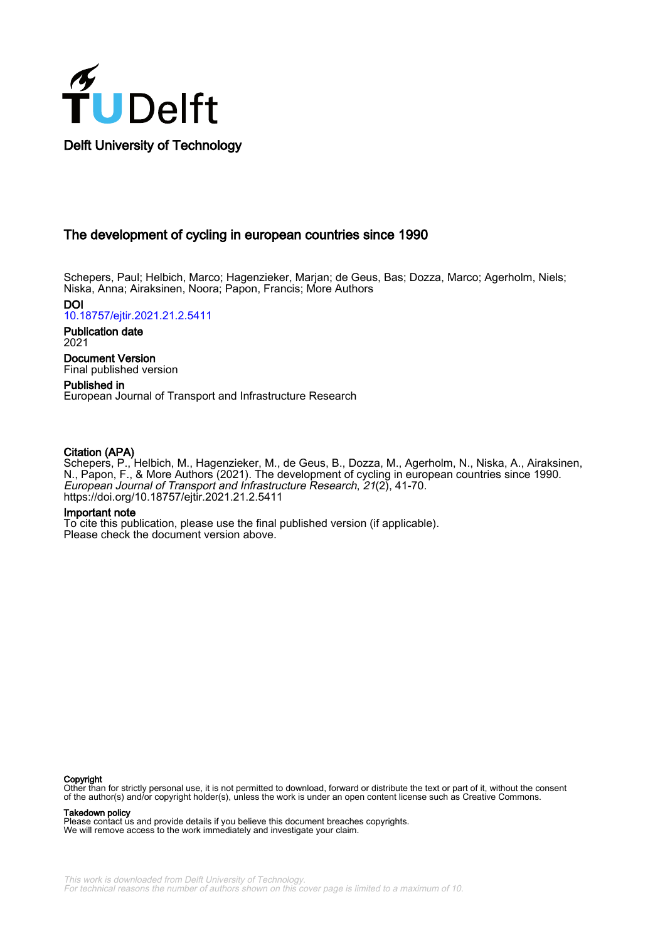

## The development of cycling in european countries since 1990

Schepers, Paul; Helbich, Marco; Hagenzieker, Marjan; de Geus, Bas; Dozza, Marco; Agerholm, Niels; Niska, Anna; Airaksinen, Noora; Papon, Francis; More Authors

DOI [10.18757/ejtir.2021.21.2.5411](https://doi.org/10.18757/ejtir.2021.21.2.5411)

Publication date 2021

Document Version Final published version

Published in European Journal of Transport and Infrastructure Research

### Citation (APA)

Schepers, P., Helbich, M., Hagenzieker, M., de Geus, B., Dozza, M., Agerholm, N., Niska, A., Airaksinen, N., Papon, F., & More Authors (2021). The development of cycling in european countries since 1990. European Journal of Transport and Infrastructure Research, 21(2), 41-70. <https://doi.org/10.18757/ejtir.2021.21.2.5411>

#### Important note

To cite this publication, please use the final published version (if applicable). Please check the document version above.

#### Copyright

Other than for strictly personal use, it is not permitted to download, forward or distribute the text or part of it, without the consent of the author(s) and/or copyright holder(s), unless the work is under an open content license such as Creative Commons.

#### Takedown policy

Please contact us and provide details if you believe this document breaches copyrights. We will remove access to the work immediately and investigate your claim.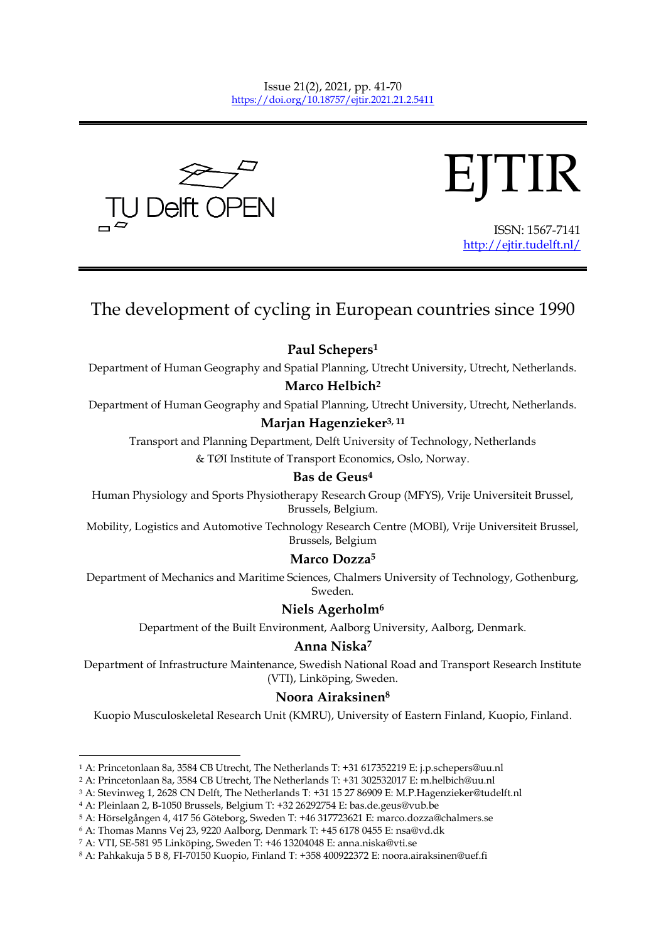



ISSN: 1567-7141 <http://ejtir.tudelft.nl/>

# The development of cycling in European countries since 1990

**Paul Schepers<sup>1</sup>**

Department of Human Geography and Spatial Planning, Utrecht University, Utrecht, Netherlands.

## **Marco Helbich<sup>2</sup>**

Department of Human Geography and Spatial Planning, Utrecht University, Utrecht, Netherlands.

# **Marjan Hagenzieker3, 11**

Transport and Planning Department, Delft University of Technology, Netherlands & TØI Institute of Transport Economics, Oslo, Norway.

## **Bas de Geus<sup>4</sup>**

Human Physiology and Sports Physiotherapy Research Group (MFYS), Vrije Universiteit Brussel, Brussels, Belgium.

Mobility, Logistics and Automotive Technology Research Centre (MOBI), Vrije Universiteit Brussel, Brussels, Belgium

## **Marco Dozza<sup>5</sup>**

Department of Mechanics and Maritime Sciences, Chalmers University of Technology, Gothenburg, Sweden.

## **Niels Agerholm<sup>6</sup>**

Department of the Built Environment, Aalborg University, Aalborg, Denmark.

## **Anna Niska<sup>7</sup>**

Department of Infrastructure Maintenance, Swedish National Road and Transport Research Institute (VTI), Linköping, Sweden.

# **Noora Airaksinen<sup>8</sup>**

Kuopio Musculoskeletal Research Unit (KMRU), University of Eastern Finland, Kuopio, Finland.

-

<sup>1</sup> A: Princetonlaan 8a, 3584 CB Utrecht, The Netherlands T: +31 617352219 E: j.p.schepers@uu.nl

<sup>2</sup> A: Princetonlaan 8a, 3584 CB Utrecht, The Netherlands T: +31 302532017 E: m.helbich@uu.nl

<sup>3</sup> A: Stevinweg 1, 2628 CN Delft, The Netherlands T: +31 15 27 86909 E: M.P.Hagenzieker@tudelft.nl

<sup>4</sup> A: Pleinlaan 2, B-1050 Brussels, Belgium T: +32 26292754 E: bas.de.geus@vub.be

<sup>5</sup> A: Hörselgången 4, 417 56 Göteborg, Sweden T: +46 317723621 E: marco.dozza@chalmers.se

<sup>6</sup> A: Thomas Manns Vej 23, 9220 Aalborg, Denmark T: +45 6178 0455 E: nsa@vd.dk

<sup>7</sup> A: VTI, SE-581 95 Linköping, Sweden T: +46 13204048 E: anna.niska@vti.se

<sup>8</sup> A: Pahkakuja 5 B 8, FI-70150 Kuopio, Finland T: +358 400922372 E: noora.airaksinen@uef.fi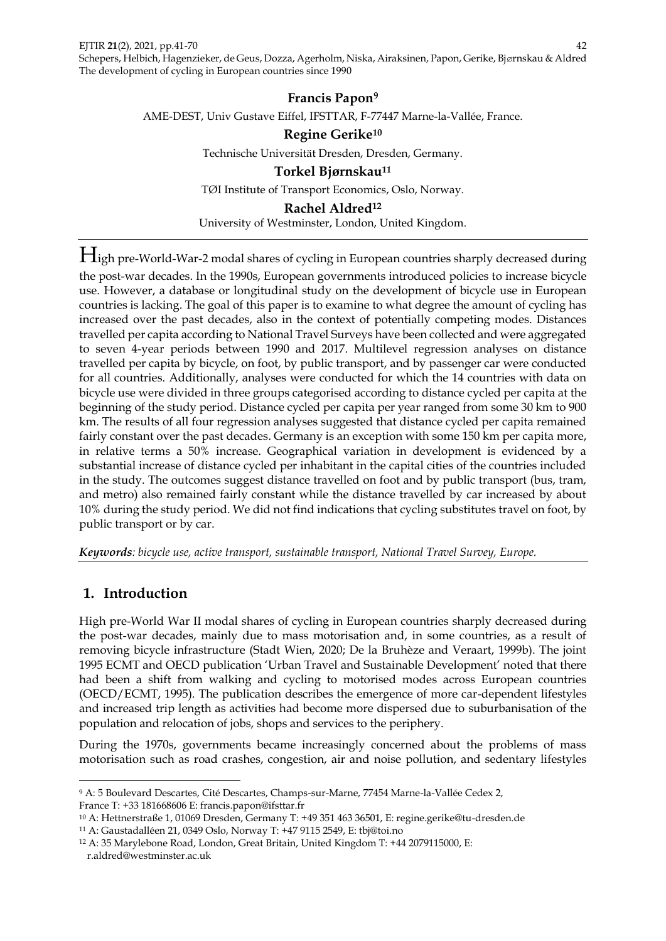**Francis Papon<sup>9</sup>** AME-DEST, Univ Gustave Eiffel, IFSTTAR, F-77447 Marne-la-Vallée, France. **Regine Gerike<sup>10</sup>** Technische Universität Dresden, Dresden, Germany.

> **Torkel Bjørnskau<sup>11</sup>** TØI Institute of Transport Economics, Oslo, Norway.

**Rachel Aldred<sup>12</sup>** University of Westminster, London, United Kingdom.

High pre-World-War-2 modal shares of cycling in European countries sharply decreased during the post-war decades. In the 1990s, European governments introduced policies to increase bicycle use. However, a database or longitudinal study on the development of bicycle use in European countries is lacking. The goal of this paper is to examine to what degree the amount of cycling has increased over the past decades, also in the context of potentially competing modes. Distances travelled per capita according to National Travel Surveys have been collected and were aggregated to seven 4-year periods between 1990 and 2017. Multilevel regression analyses on distance travelled per capita by bicycle, on foot, by public transport, and by passenger car were conducted for all countries. Additionally, analyses were conducted for which the 14 countries with data on bicycle use were divided in three groups categorised according to distance cycled per capita at the beginning of the study period. Distance cycled per capita per year ranged from some 30 km to 900 km. The results of all four regression analyses suggested that distance cycled per capita remained fairly constant over the past decades. Germany is an exception with some 150 km per capita more, in relative terms a 50% increase. Geographical variation in development is evidenced by a substantial increase of distance cycled per inhabitant in the capital cities of the countries included in the study. The outcomes suggest distance travelled on foot and by public transport (bus, tram, and metro) also remained fairly constant while the distance travelled by car increased by about 10% during the study period. We did not find indications that cycling substitutes travel on foot, by public transport or by car.

*Keywords: bicycle use, active transport, sustainable transport, National Travel Survey, Europe.*

# **1. Introduction**

High pre-World War II modal shares of cycling in European countries sharply decreased during the post-war decades, mainly due to mass motorisation and, in some countries, as a result of removing bicycle infrastructure (Stadt Wien, 2020; De la Bruhèze and Veraart, 1999b). The joint 1995 ECMT and OECD publication 'Urban Travel and Sustainable Development' noted that there had been a shift from walking and cycling to motorised modes across European countries (OECD/ECMT, 1995). The publication describes the emergence of more car-dependent lifestyles and increased trip length as activities had become more dispersed due to suburbanisation of the population and relocation of jobs, shops and services to the periphery.

During the 1970s, governments became increasingly concerned about the problems of mass motorisation such as road crashes, congestion, air and noise pollution, and sedentary lifestyles

<sup>-</sup><sup>9</sup> A: 5 Boulevard Descartes, Cité Descartes, Champs-sur-Marne, 77454 Marne-la-Vallée Cedex 2, France T: +33 181668606 E: francis.papon@ifsttar.fr

<sup>10</sup> A: Hettnerstraße 1, 01069 Dresden, Germany T: +49 351 463 36501, E: regine.gerike@tu-dresden.de

<sup>11</sup> A: Gaustadalléen 21, 0349 Oslo, Norway T: +47 9115 2549, E: tbj@toi.no

<sup>12</sup> A: 35 Marylebone Road, London, Great Britain, United Kingdom T: +44 2079115000, E:

r.aldred@westminster.ac.uk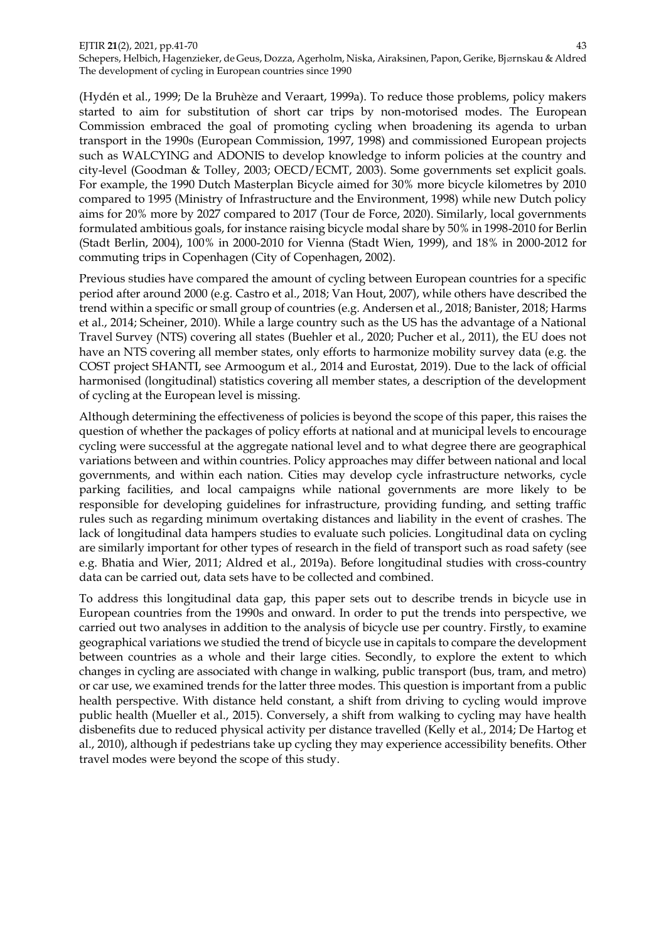(Hydén et al., 1999; De la Bruhèze and Veraart, 1999a). To reduce those problems, policy makers started to aim for substitution of short car trips by non-motorised modes. The European Commission embraced the goal of promoting cycling when broadening its agenda to urban transport in the 1990s (European Commission, 1997, 1998) and commissioned European projects such as WALCYING and ADONIS to develop knowledge to inform policies at the country and city-level (Goodman & Tolley, 2003; OECD/ECMT, 2003). Some governments set explicit goals. For example, the 1990 Dutch Masterplan Bicycle aimed for 30% more bicycle kilometres by 2010 compared to 1995 (Ministry of Infrastructure and the Environment, 1998) while new Dutch policy aims for 20% more by 2027 compared to 2017 (Tour de Force, 2020). Similarly, local governments formulated ambitious goals, for instance raising bicycle modal share by 50% in 1998-2010 for Berlin (Stadt Berlin, 2004), 100% in 2000-2010 for Vienna (Stadt Wien, 1999), and 18% in 2000-2012 for commuting trips in Copenhagen (City of Copenhagen, 2002).

Previous studies have compared the amount of cycling between European countries for a specific period after around 2000 (e.g. Castro et al., 2018; Van Hout, 2007), while others have described the trend within a specific or small group of countries (e.g. Andersen et al., 2018; Banister, 2018; Harms et al., 2014; Scheiner, 2010). While a large country such as the US has the advantage of a National Travel Survey (NTS) covering all states (Buehler et al., 2020; Pucher et al., 2011), the EU does not have an NTS covering all member states, only efforts to harmonize mobility survey data (e.g. the COST project SHANTI, see Armoogum et al., 2014 and Eurostat, 2019). Due to the lack of official harmonised (longitudinal) statistics covering all member states, a description of the development of cycling at the European level is missing.

Although determining the effectiveness of policies is beyond the scope of this paper, this raises the question of whether the packages of policy efforts at national and at municipal levels to encourage cycling were successful at the aggregate national level and to what degree there are geographical variations between and within countries. Policy approaches may differ between national and local governments, and within each nation. Cities may develop cycle infrastructure networks, cycle parking facilities, and local campaigns while national governments are more likely to be responsible for developing guidelines for infrastructure, providing funding, and setting traffic rules such as regarding minimum overtaking distances and liability in the event of crashes. The lack of longitudinal data hampers studies to evaluate such policies. Longitudinal data on cycling are similarly important for other types of research in the field of transport such as road safety (see e.g. Bhatia and Wier, 2011; Aldred et al., 2019a). Before longitudinal studies with cross-country data can be carried out, data sets have to be collected and combined.

To address this longitudinal data gap, this paper sets out to describe trends in bicycle use in European countries from the 1990s and onward. In order to put the trends into perspective, we carried out two analyses in addition to the analysis of bicycle use per country. Firstly, to examine geographical variations we studied the trend of bicycle use in capitals to compare the development between countries as a whole and their large cities. Secondly, to explore the extent to which changes in cycling are associated with change in walking, public transport (bus, tram, and metro) or car use, we examined trends for the latter three modes. This question is important from a public health perspective. With distance held constant, a shift from driving to cycling would improve public health (Mueller et al., 2015). Conversely, a shift from walking to cycling may have health disbenefits due to reduced physical activity per distance travelled (Kelly et al., 2014; De Hartog et al., 2010), although if pedestrians take up cycling they may experience accessibility benefits. Other travel modes were beyond the scope of this study.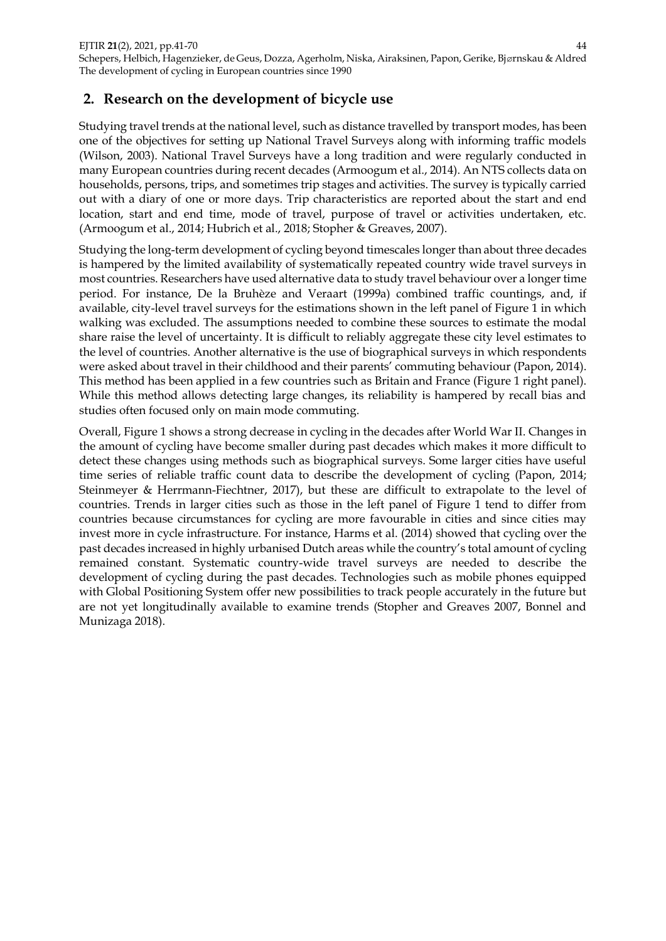# **2. Research on the development of bicycle use**

Studying travel trends at the national level, such as distance travelled by transport modes, has been one of the objectives for setting up National Travel Surveys along with informing traffic models (Wilson, 2003). National Travel Surveys have a long tradition and were regularly conducted in many European countries during recent decades (Armoogum et al., 2014). An NTS collects data on households, persons, trips, and sometimes trip stages and activities. The survey is typically carried out with a diary of one or more days. Trip characteristics are reported about the start and end location, start and end time, mode of travel, purpose of travel or activities undertaken, etc. (Armoogum et al., 2014; Hubrich et al., 2018; Stopher & Greaves, 2007).

Studying the long-term development of cycling beyond timescales longer than about three decades is hampered by the limited availability of systematically repeated country wide travel surveys in most countries. Researchers have used alternative data to study travel behaviour over a longer time period. For instance, De la Bruhèze and Veraart (1999a) combined traffic countings, and, if available, city-level travel surveys for the estimations shown in the left panel of Figure 1 in which walking was excluded. The assumptions needed to combine these sources to estimate the modal share raise the level of uncertainty. It is difficult to reliably aggregate these city level estimates to the level of countries. Another alternative is the use of biographical surveys in which respondents were asked about travel in their childhood and their parents' commuting behaviour (Papon, 2014). This method has been applied in a few countries such as Britain and France (Figure 1 right panel). While this method allows detecting large changes, its reliability is hampered by recall bias and studies often focused only on main mode commuting.

Overall, Figure 1 shows a strong decrease in cycling in the decades after World War II. Changes in the amount of cycling have become smaller during past decades which makes it more difficult to detect these changes using methods such as biographical surveys. Some larger cities have useful time series of reliable traffic count data to describe the development of cycling (Papon, 2014; Steinmeyer & Herrmann-Fiechtner, 2017), but these are difficult to extrapolate to the level of countries. Trends in larger cities such as those in the left panel of Figure 1 tend to differ from countries because circumstances for cycling are more favourable in cities and since cities may invest more in cycle infrastructure. For instance, Harms et al. (2014) showed that cycling over the past decades increased in highly urbanised Dutch areas while the country's total amount of cycling remained constant. Systematic country-wide travel surveys are needed to describe the development of cycling during the past decades. Technologies such as mobile phones equipped with Global Positioning System offer new possibilities to track people accurately in the future but are not yet longitudinally available to examine trends (Stopher and Greaves 2007, Bonnel and Munizaga 2018).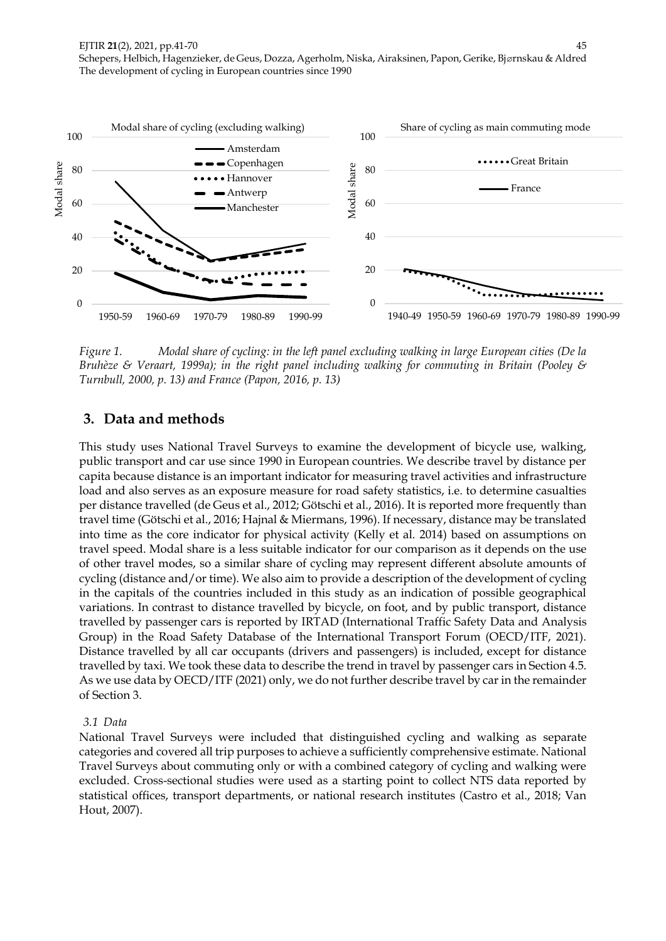

*Figure 1. Modal share of cycling: in the left panel excluding walking in large European cities (De la Bruhèze & Veraart, 1999a); in the right panel including walking for commuting in Britain (Pooley & Turnbull, 2000, p. 13) and France (Papon, 2016, p. 13)*

## **3. Data and methods**

This study uses National Travel Surveys to examine the development of bicycle use, walking, public transport and car use since 1990 in European countries. We describe travel by distance per capita because distance is an important indicator for measuring travel activities and infrastructure load and also serves as an exposure measure for road safety statistics, i.e. to determine casualties per distance travelled (de Geus et al., 2012; Götschi et al., 2016). It is reported more frequently than travel time (Götschi et al., 2016; Hajnal & Miermans, 1996). If necessary, distance may be translated into time as the core indicator for physical activity (Kelly et al. 2014) based on assumptions on travel speed. Modal share is a less suitable indicator for our comparison as it depends on the use of other travel modes, so a similar share of cycling may represent different absolute amounts of cycling (distance and/or time). We also aim to provide a description of the development of cycling in the capitals of the countries included in this study as an indication of possible geographical variations. In contrast to distance travelled by bicycle, on foot, and by public transport, distance travelled by passenger cars is reported by IRTAD (International Traffic Safety Data and Analysis Group) in the Road Safety Database of the International Transport Forum (OECD/ITF, 2021). Distance travelled by all car occupants (drivers and passengers) is included, except for distance travelled by taxi. We took these data to describe the trend in travel by passenger cars in Section 4.5. As we use data by OECD/ITF (2021) only, we do not further describe travel by car in the remainder of Section 3.

#### *3.1 Data*

National Travel Surveys were included that distinguished cycling and walking as separate categories and covered all trip purposes to achieve a sufficiently comprehensive estimate. National Travel Surveys about commuting only or with a combined category of cycling and walking were excluded. Cross-sectional studies were used as a starting point to collect NTS data reported by statistical offices, transport departments, or national research institutes (Castro et al., 2018; Van Hout, 2007).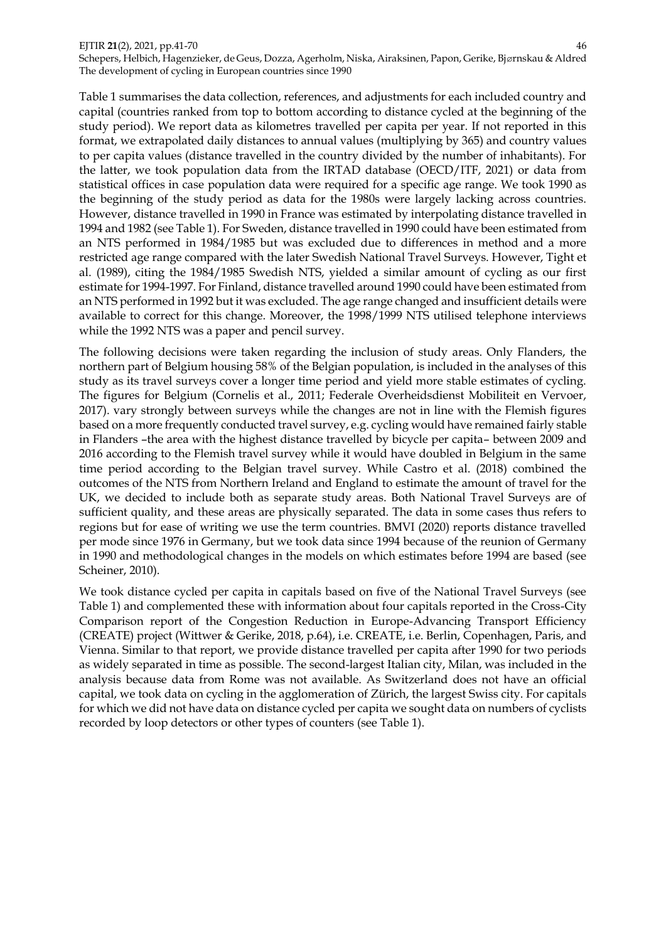Schepers, Helbich, Hagenzieker, de Geus, Dozza, Agerholm, Niska, Airaksinen, Papon, Gerike, Bjørnskau & Aldred The development of cycling in European countries since 1990

Table 1 summarises the data collection, references, and adjustments for each included country and capital (countries ranked from top to bottom according to distance cycled at the beginning of the study period). We report data as kilometres travelled per capita per year. If not reported in this format, we extrapolated daily distances to annual values (multiplying by 365) and country values to per capita values (distance travelled in the country divided by the number of inhabitants). For the latter, we took population data from the IRTAD database (OECD/ITF, 2021) or data from statistical offices in case population data were required for a specific age range. We took 1990 as the beginning of the study period as data for the 1980s were largely lacking across countries. However, distance travelled in 1990 in France was estimated by interpolating distance travelled in 1994 and 1982 (see Table 1). For Sweden, distance travelled in 1990 could have been estimated from an NTS performed in 1984/1985 but was excluded due to differences in method and a more restricted age range compared with the later Swedish National Travel Surveys. However, Tight et al. (1989), citing the 1984/1985 Swedish NTS, yielded a similar amount of cycling as our first estimate for 1994-1997. For Finland, distance travelled around 1990 could have been estimated from an NTS performed in 1992 but it was excluded. The age range changed and insufficient details were available to correct for this change. Moreover, the 1998/1999 NTS utilised telephone interviews while the 1992 NTS was a paper and pencil survey.

The following decisions were taken regarding the inclusion of study areas. Only Flanders, the northern part of Belgium housing 58% of the Belgian population, is included in the analyses of this study as its travel surveys cover a longer time period and yield more stable estimates of cycling. The figures for Belgium (Cornelis et al., 2011; Federale Overheidsdienst Mobiliteit en Vervoer, 2017). vary strongly between surveys while the changes are not in line with the Flemish figures based on a more frequently conducted travel survey, e.g. cycling would have remained fairly stable in Flanders –the area with the highest distance travelled by bicycle per capita– between 2009 and 2016 according to the Flemish travel survey while it would have doubled in Belgium in the same time period according to the Belgian travel survey. While Castro et al. (2018) combined the outcomes of the NTS from Northern Ireland and England to estimate the amount of travel for the UK, we decided to include both as separate study areas. Both National Travel Surveys are of sufficient quality, and these areas are physically separated. The data in some cases thus refers to regions but for ease of writing we use the term countries. BMVI (2020) reports distance travelled per mode since 1976 in Germany, but we took data since 1994 because of the reunion of Germany in 1990 and methodological changes in the models on which estimates before 1994 are based (see Scheiner, 2010).

We took distance cycled per capita in capitals based on five of the National Travel Surveys (see Table 1) and complemented these with information about four capitals reported in the Cross-City Comparison report of the Congestion Reduction in Europe-Advancing Transport Efficiency (CREATE) project (Wittwer & Gerike, 2018, p.64), i.e. CREATE, i.e. Berlin, Copenhagen, Paris, and Vienna. Similar to that report, we provide distance travelled per capita after 1990 for two periods as widely separated in time as possible. The second-largest Italian city, Milan, was included in the analysis because data from Rome was not available. As Switzerland does not have an official capital, we took data on cycling in the agglomeration of Zürich, the largest Swiss city. For capitals for which we did not have data on distance cycled per capita we sought data on numbers of cyclists recorded by loop detectors or other types of counters (see Table 1).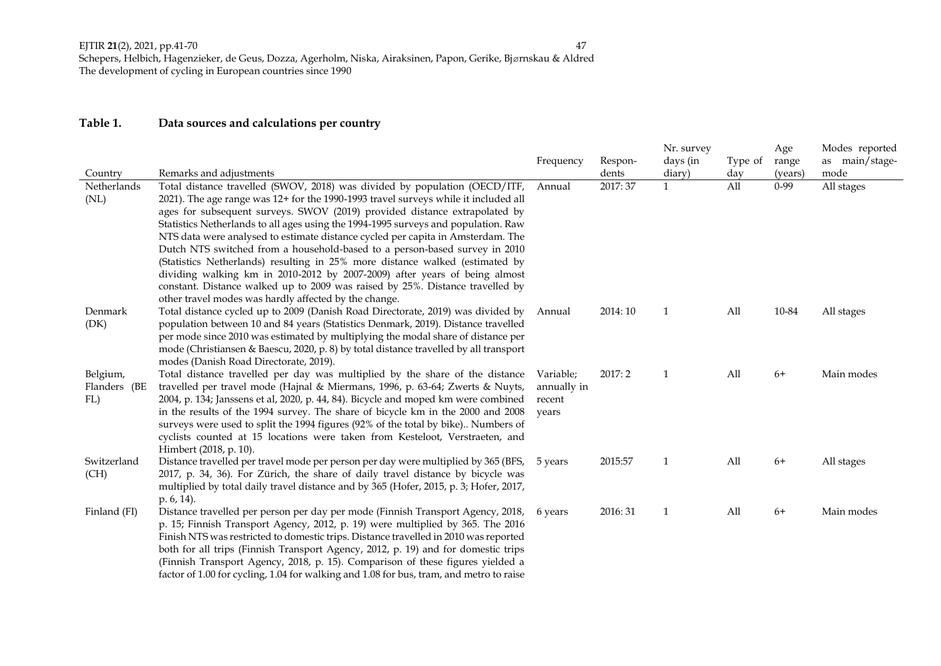## **Table 1. Data sources and calculations per country**

|                        |                                                                                                                                                                       |                 |                  | Nr. survey             |            | Age                 | Modes reported |
|------------------------|-----------------------------------------------------------------------------------------------------------------------------------------------------------------------|-----------------|------------------|------------------------|------------|---------------------|----------------|
|                        |                                                                                                                                                                       | Frequency       | Respon-          | days (in               | Type of    | range               | as main/stage- |
| Country<br>Netherlands | Remarks and adjustments<br>Total distance travelled (SWOV, 2018) was divided by population (OECD/ITF,                                                                 | Annual          | dents<br>2017:37 | diary)<br>$\mathbf{1}$ | day<br>All | (years)<br>$0 - 99$ | mode           |
| (NL)                   | 2021). The age range was 12+ for the 1990-1993 travel surveys while it included all                                                                                   |                 |                  |                        |            |                     | All stages     |
|                        | ages for subsequent surveys. SWOV (2019) provided distance extrapolated by                                                                                            |                 |                  |                        |            |                     |                |
|                        | Statistics Netherlands to all ages using the 1994-1995 surveys and population. Raw                                                                                    |                 |                  |                        |            |                     |                |
|                        | NTS data were analysed to estimate distance cycled per capita in Amsterdam. The                                                                                       |                 |                  |                        |            |                     |                |
|                        | Dutch NTS switched from a household-based to a person-based survey in 2010                                                                                            |                 |                  |                        |            |                     |                |
|                        | (Statistics Netherlands) resulting in 25% more distance walked (estimated by                                                                                          |                 |                  |                        |            |                     |                |
|                        | dividing walking km in 2010-2012 by 2007-2009) after years of being almost                                                                                            |                 |                  |                        |            |                     |                |
|                        | constant. Distance walked up to 2009 was raised by 25%. Distance travelled by                                                                                         |                 |                  |                        |            |                     |                |
|                        | other travel modes was hardly affected by the change.                                                                                                                 |                 |                  |                        |            |                     |                |
| Denmark                | Total distance cycled up to 2009 (Danish Road Directorate, 2019) was divided by Annual                                                                                |                 | 2014: 10         | 1                      | All        | 10-84               | All stages     |
| (DK)                   | population between 10 and 84 years (Statistics Denmark, 2019). Distance travelled                                                                                     |                 |                  |                        |            |                     |                |
|                        | per mode since 2010 was estimated by multiplying the modal share of distance per                                                                                      |                 |                  |                        |            |                     |                |
|                        | mode (Christiansen & Baescu, 2020, p. 8) by total distance travelled by all transport                                                                                 |                 |                  |                        |            |                     |                |
|                        | modes (Danish Road Directorate, 2019).                                                                                                                                |                 |                  |                        |            |                     |                |
| Belgium,               | Total distance travelled per day was multiplied by the share of the distance                                                                                          | Variable;       | 2017:2           | $\mathbf{1}$           | All        | $6+$                | Main modes     |
| Flanders (BE           | travelled per travel mode (Hajnal & Miermans, 1996, p. 63-64; Zwerts & Nuyts,                                                                                         | annually in     |                  |                        |            |                     |                |
| FL)                    | 2004, p. 134; Janssens et al, 2020, p. 44, 84). Bicycle and moped km were combined<br>in the results of the 1994 survey. The share of bicycle km in the 2000 and 2008 | recent<br>years |                  |                        |            |                     |                |
|                        | surveys were used to split the 1994 figures (92% of the total by bike) Numbers of                                                                                     |                 |                  |                        |            |                     |                |
|                        | cyclists counted at 15 locations were taken from Kesteloot, Verstraeten, and                                                                                          |                 |                  |                        |            |                     |                |
|                        | Himbert (2018, p. 10).                                                                                                                                                |                 |                  |                        |            |                     |                |
| Switzerland            | Distance travelled per travel mode per person per day were multiplied by 365 (BFS, 5 years                                                                            |                 | 2015:57          | 1                      | All        | $6+$                | All stages     |
| (CH)                   | 2017, p. 34, 36). For Zürich, the share of daily travel distance by bicycle was                                                                                       |                 |                  |                        |            |                     |                |
|                        | multiplied by total daily travel distance and by 365 (Hofer, 2015, p. 3; Hofer, 2017,                                                                                 |                 |                  |                        |            |                     |                |
|                        | p. 6, 14).                                                                                                                                                            |                 |                  |                        |            |                     |                |
| Finland (FI)           | Distance travelled per person per day per mode (Finnish Transport Agency, 2018,                                                                                       | 6 years         | 2016: 31         | 1                      | All        | $6+$                | Main modes     |
|                        | p. 15; Finnish Transport Agency, 2012, p. 19) were multiplied by 365. The 2016                                                                                        |                 |                  |                        |            |                     |                |
|                        | Finish NTS was restricted to domestic trips. Distance travelled in 2010 was reported                                                                                  |                 |                  |                        |            |                     |                |
|                        | both for all trips (Finnish Transport Agency, 2012, p. 19) and for domestic trips                                                                                     |                 |                  |                        |            |                     |                |
|                        | (Finnish Transport Agency, 2018, p. 15). Comparison of these figures yielded a                                                                                        |                 |                  |                        |            |                     |                |
|                        | factor of 1.00 for cycling, 1.04 for walking and 1.08 for bus, tram, and metro to raise                                                                               |                 |                  |                        |            |                     |                |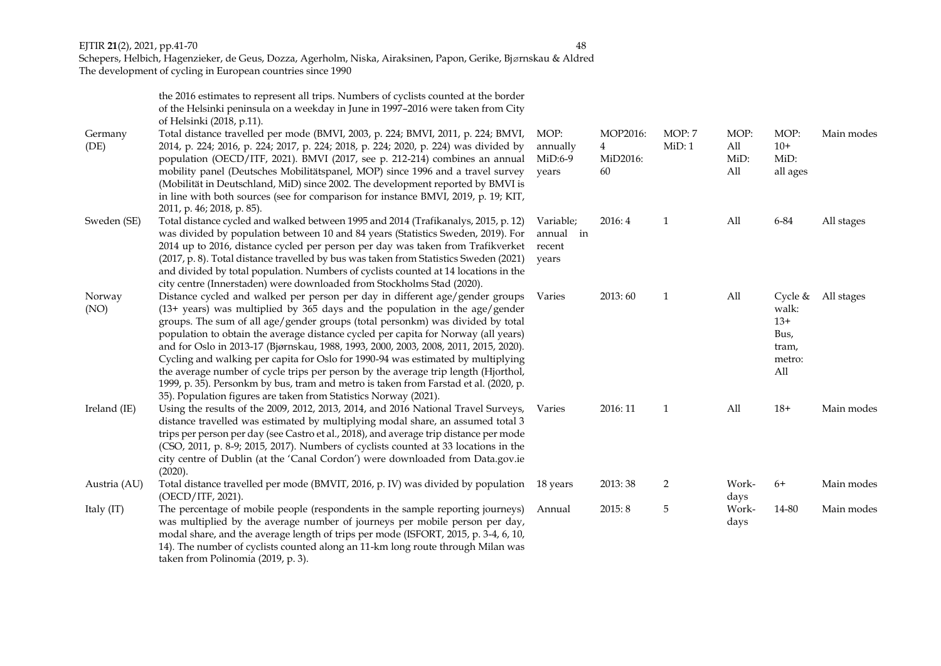Schepers, Helbich, Hagenzieker, de Geus, Dozza, Agerholm, Niska, Airaksinen, Papon, Gerike, Bjørnskau & Aldred The development of cycling in European countries since 1990

> the 2016 estimates to represent all trips. Numbers of cyclists counted at the border of the Helsinki peninsula on a weekday in June in 1997–2016 were taken from City of Helsinki (2018, p.11).<br>Total distance travelled i

| Germany      | Total distance travelled per mode (BMVI, 2003, p. 224; BMVI, 2011, p. 224; BMVI,                                                                                         | MOP:                  | MOP2016:      | MOP: 7         | MOP:        | MOP:          | Main modes |
|--------------|--------------------------------------------------------------------------------------------------------------------------------------------------------------------------|-----------------------|---------------|----------------|-------------|---------------|------------|
| (DE)         | 2014, p. 224; 2016, p. 224; 2017, p. 224; 2018, p. 224; 2020, p. 224) was divided by<br>population (OECD/ITF, 2021). BMVI (2017, see p. 212-214) combines an annual      | annually<br>$MiD:6-9$ | 4<br>MiD2016: | MiD:1          | All<br>MiD: | $10+$<br>MiD: |            |
|              | mobility panel (Deutsches Mobilitätspanel, MOP) since 1996 and a travel survey                                                                                           | years                 | 60            |                | All         | all ages      |            |
|              | (Mobilität in Deutschland, MiD) since 2002. The development reported by BMVI is                                                                                          |                       |               |                |             |               |            |
|              | in line with both sources (see for comparison for instance BMVI, 2019, p. 19; KIT,                                                                                       |                       |               |                |             |               |            |
|              | 2011, p. 46; 2018, p. 85).                                                                                                                                               |                       |               |                |             |               |            |
| Sweden (SE)  | Total distance cycled and walked between 1995 and 2014 (Trafikanalys, 2015, p. 12)                                                                                       | Variable;             | 2016:4        | 1              | All         | 6-84          | All stages |
|              | was divided by population between 10 and 84 years (Statistics Sweden, 2019). For                                                                                         | annual in             |               |                |             |               |            |
|              | 2014 up to 2016, distance cycled per person per day was taken from Trafikverket                                                                                          | recent                |               |                |             |               |            |
|              | (2017, p. 8). Total distance travelled by bus was taken from Statistics Sweden (2021)                                                                                    | vears                 |               |                |             |               |            |
|              | and divided by total population. Numbers of cyclists counted at 14 locations in the                                                                                      |                       |               |                |             |               |            |
|              | city centre (Innerstaden) were downloaded from Stockholms Stad (2020).                                                                                                   |                       |               |                |             |               |            |
| Norway       | Distance cycled and walked per person per day in different age/gender groups                                                                                             | Varies                | 2013:60       | $\mathbf{1}$   | All         | Cycle &       | All stages |
| (NO)         | $(13 + \text{ years})$ was multiplied by 365 days and the population in the age/gender                                                                                   |                       |               |                |             | walk:         |            |
|              | groups. The sum of all age/gender groups (total personkm) was divided by total                                                                                           |                       |               |                |             | $13+$         |            |
|              | population to obtain the average distance cycled per capita for Norway (all years)                                                                                       |                       |               |                |             | Bus,          |            |
|              | and for Oslo in 2013-17 (Bjørnskau, 1988, 1993, 2000, 2003, 2008, 2011, 2015, 2020).<br>Cycling and walking per capita for Oslo for 1990-94 was estimated by multiplying |                       |               |                |             | tram,         |            |
|              | the average number of cycle trips per person by the average trip length (Hjorthol,                                                                                       |                       |               |                |             | metro:<br>All |            |
|              | 1999, p. 35). Personkm by bus, tram and metro is taken from Farstad et al. (2020, p.                                                                                     |                       |               |                |             |               |            |
|              | 35). Population figures are taken from Statistics Norway (2021).                                                                                                         |                       |               |                |             |               |            |
| Ireland (IE) | Using the results of the 2009, 2012, 2013, 2014, and 2016 National Travel Surveys,                                                                                       | Varies                | 2016: 11      | $\mathbf{1}$   | All         | $18+$         | Main modes |
|              | distance travelled was estimated by multiplying modal share, an assumed total 3                                                                                          |                       |               |                |             |               |            |
|              | trips per person per day (see Castro et al., 2018), and average trip distance per mode                                                                                   |                       |               |                |             |               |            |
|              | (CSO, 2011, p. 8-9; 2015, 2017). Numbers of cyclists counted at 33 locations in the                                                                                      |                       |               |                |             |               |            |
|              | city centre of Dublin (at the 'Canal Cordon') were downloaded from Data.gov.ie                                                                                           |                       |               |                |             |               |            |
|              | (2020).                                                                                                                                                                  |                       |               |                |             |               |            |
| Austria (AU) | Total distance travelled per mode (BMVIT, 2016, p. IV) was divided by population                                                                                         | 18 years              | 2013:38       | $\overline{2}$ | Work-       | $6+$          | Main modes |
|              | (OECD/ITF, 2021).                                                                                                                                                        |                       |               |                | days        |               |            |
| Italy (IT)   | The percentage of mobile people (respondents in the sample reporting journeys)                                                                                           | Annual                | 2015:8        | 5              | Work-       | 14-80         | Main modes |
|              | was multiplied by the average number of journeys per mobile person per day,                                                                                              |                       |               |                | days        |               |            |
|              | modal share, and the average length of trips per mode (ISFORT, 2015, p. 3-4, 6, 10,                                                                                      |                       |               |                |             |               |            |
|              | 14). The number of cyclists counted along an 11-km long route through Milan was                                                                                          |                       |               |                |             |               |            |
|              | taken from Polinomia (2019, p. 3).                                                                                                                                       |                       |               |                |             |               |            |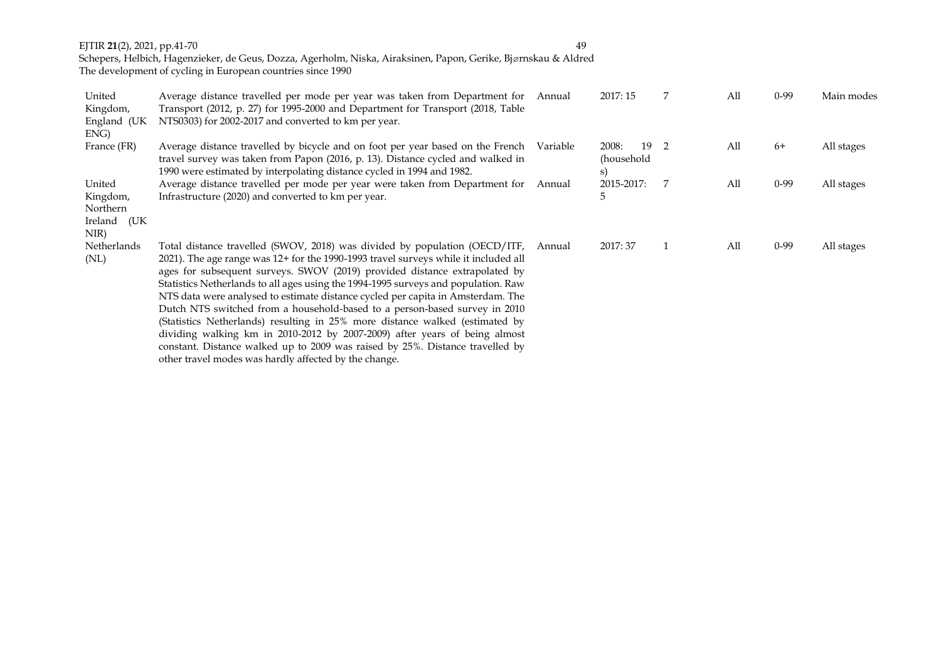Schepers, Helbich, Hagenzieker, de Geus, Dozza, Agerholm, Niska, Airaksinen, Papon, Gerike, Bjørnskau & Aldred The development of cycling in European countries since 1990

| United<br>Kingdom,  | Average distance travelled per mode per year was taken from Department for<br>Transport (2012, p. 27) for 1995-2000 and Department for Transport (2018, Table                                                                                                                                                                                                                                                                                                                                                                                                                                                                                                                                                                                                                                                  | Annual   | 2017:15                         |                | All | $0-99$   | Main modes |
|---------------------|----------------------------------------------------------------------------------------------------------------------------------------------------------------------------------------------------------------------------------------------------------------------------------------------------------------------------------------------------------------------------------------------------------------------------------------------------------------------------------------------------------------------------------------------------------------------------------------------------------------------------------------------------------------------------------------------------------------------------------------------------------------------------------------------------------------|----------|---------------------------------|----------------|-----|----------|------------|
| England (UK<br>ENG) | NTS0303) for 2002-2017 and converted to km per year.                                                                                                                                                                                                                                                                                                                                                                                                                                                                                                                                                                                                                                                                                                                                                           |          |                                 |                |     |          |            |
| France (FR)         | Average distance travelled by bicycle and on foot per year based on the French<br>travel survey was taken from Papon (2016, p. 13). Distance cycled and walked in<br>1990 were estimated by interpolating distance cycled in 1994 and 1982.                                                                                                                                                                                                                                                                                                                                                                                                                                                                                                                                                                    | Variable | 19<br>2008:<br>(household<br>S) | -2             | All | 6+       | All stages |
| United              | Average distance travelled per mode per year were taken from Department for Annual                                                                                                                                                                                                                                                                                                                                                                                                                                                                                                                                                                                                                                                                                                                             |          | 2015-2017:                      | $\overline{7}$ | All | $0 - 99$ | All stages |
| Kingdom,            | Infrastructure (2020) and converted to km per year.                                                                                                                                                                                                                                                                                                                                                                                                                                                                                                                                                                                                                                                                                                                                                            |          |                                 |                |     |          |            |
| Northern            |                                                                                                                                                                                                                                                                                                                                                                                                                                                                                                                                                                                                                                                                                                                                                                                                                |          |                                 |                |     |          |            |
| Ireland (UK<br>NIR) |                                                                                                                                                                                                                                                                                                                                                                                                                                                                                                                                                                                                                                                                                                                                                                                                                |          |                                 |                |     |          |            |
| Netherlands<br>(NL) | Total distance travelled (SWOV, 2018) was divided by population (OECD/ITF,<br>2021). The age range was 12+ for the 1990-1993 travel surveys while it included all<br>ages for subsequent surveys. SWOV (2019) provided distance extrapolated by<br>Statistics Netherlands to all ages using the 1994-1995 surveys and population. Raw<br>NTS data were analysed to estimate distance cycled per capita in Amsterdam. The<br>Dutch NTS switched from a household-based to a person-based survey in 2010<br>(Statistics Netherlands) resulting in 25% more distance walked (estimated by<br>dividing walking km in 2010-2012 by 2007-2009) after years of being almost<br>constant. Distance walked up to 2009 was raised by 25%. Distance travelled by<br>other travel modes was hardly affected by the change. | Annual   | 2017: 37                        |                | All | $0 - 99$ | All stages |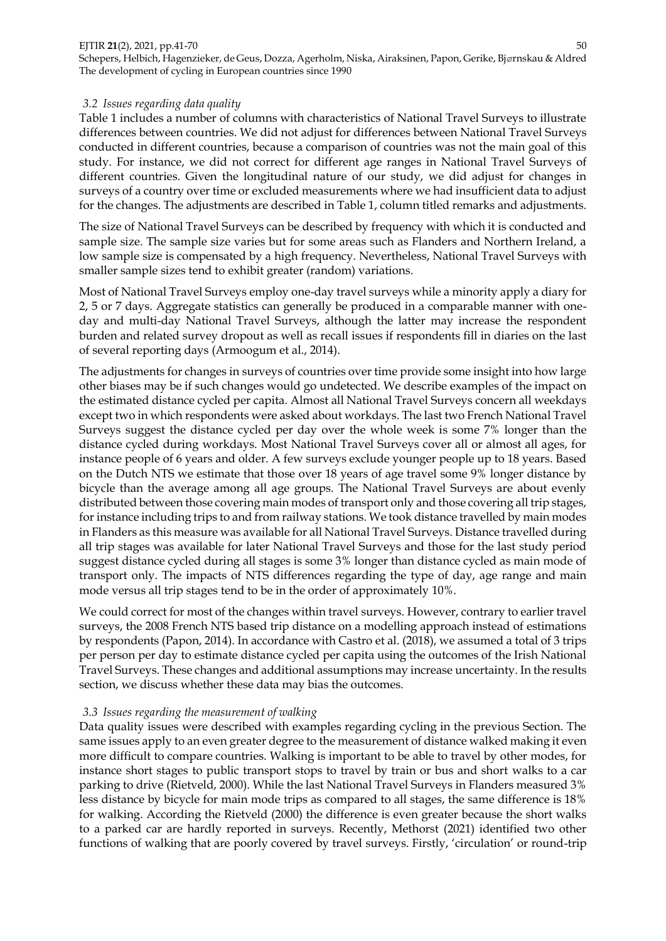Schepers, Helbich, Hagenzieker, de Geus, Dozza, Agerholm, Niska, Airaksinen, Papon, Gerike, Bjørnskau & Aldred The development of cycling in European countries since 1990

### *3.2 Issues regarding data quality*

Table 1 includes a number of columns with characteristics of National Travel Surveys to illustrate differences between countries. We did not adjust for differences between National Travel Surveys conducted in different countries, because a comparison of countries was not the main goal of this study. For instance, we did not correct for different age ranges in National Travel Surveys of different countries. Given the longitudinal nature of our study, we did adjust for changes in surveys of a country over time or excluded measurements where we had insufficient data to adjust for the changes. The adjustments are described in Table 1, column titled remarks and adjustments.

The size of National Travel Surveys can be described by frequency with which it is conducted and sample size. The sample size varies but for some areas such as Flanders and Northern Ireland, a low sample size is compensated by a high frequency. Nevertheless, National Travel Surveys with smaller sample sizes tend to exhibit greater (random) variations.

Most of National Travel Surveys employ one-day travel surveys while a minority apply a diary for 2, 5 or 7 days. Aggregate statistics can generally be produced in a comparable manner with oneday and multi-day National Travel Surveys, although the latter may increase the respondent burden and related survey dropout as well as recall issues if respondents fill in diaries on the last of several reporting days (Armoogum et al., 2014).

The adjustments for changes in surveys of countries over time provide some insight into how large other biases may be if such changes would go undetected. We describe examples of the impact on the estimated distance cycled per capita. Almost all National Travel Surveys concern all weekdays except two in which respondents were asked about workdays. The last two French National Travel Surveys suggest the distance cycled per day over the whole week is some 7% longer than the distance cycled during workdays. Most National Travel Surveys cover all or almost all ages, for instance people of 6 years and older. A few surveys exclude younger people up to 18 years. Based on the Dutch NTS we estimate that those over 18 years of age travel some 9% longer distance by bicycle than the average among all age groups. The National Travel Surveys are about evenly distributed between those covering main modes of transport only and those covering all trip stages, for instance including trips to and from railway stations. We took distance travelled by main modes in Flanders as this measure was available for all National Travel Surveys. Distance travelled during all trip stages was available for later National Travel Surveys and those for the last study period suggest distance cycled during all stages is some 3% longer than distance cycled as main mode of transport only. The impacts of NTS differences regarding the type of day, age range and main mode versus all trip stages tend to be in the order of approximately 10%.

We could correct for most of the changes within travel surveys. However, contrary to earlier travel surveys, the 2008 French NTS based trip distance on a modelling approach instead of estimations by respondents (Papon, 2014). In accordance with Castro et al. (2018), we assumed a total of 3 trips per person per day to estimate distance cycled per capita using the outcomes of the Irish National Travel Surveys. These changes and additional assumptions may increase uncertainty. In the results section, we discuss whether these data may bias the outcomes.

### *3.3 Issues regarding the measurement of walking*

Data quality issues were described with examples regarding cycling in the previous Section. The same issues apply to an even greater degree to the measurement of distance walked making it even more difficult to compare countries. Walking is important to be able to travel by other modes, for instance short stages to public transport stops to travel by train or bus and short walks to a car parking to drive (Rietveld, 2000). While the last National Travel Surveys in Flanders measured 3% less distance by bicycle for main mode trips as compared to all stages, the same difference is 18% for walking. According the Rietveld (2000) the difference is even greater because the short walks to a parked car are hardly reported in surveys. Recently, Methorst (2021) identified two other functions of walking that are poorly covered by travel surveys. Firstly, 'circulation' or round-trip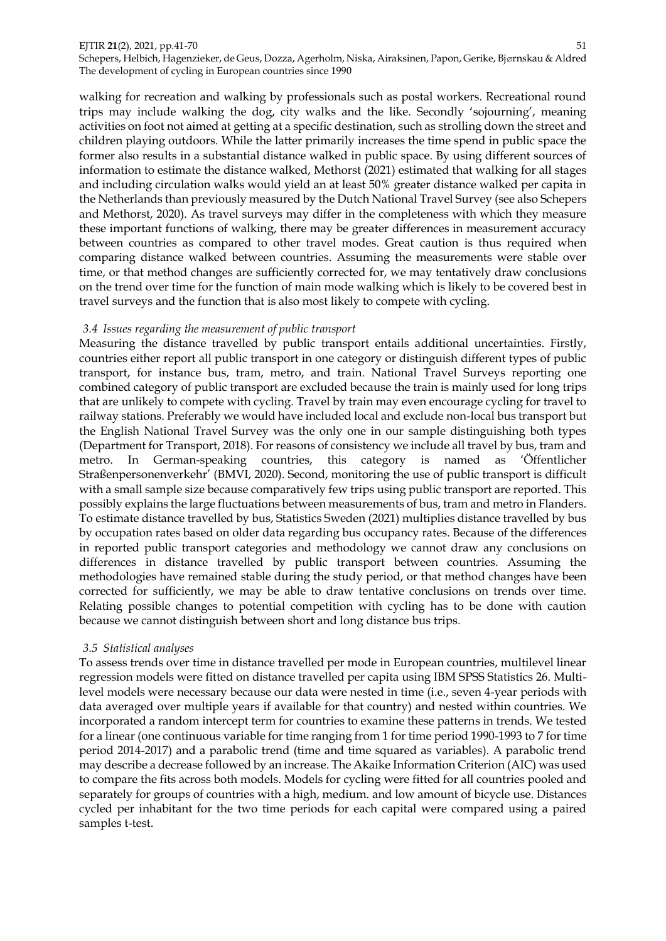Schepers, Helbich, Hagenzieker, de Geus, Dozza, Agerholm, Niska, Airaksinen, Papon, Gerike, Bjørnskau & Aldred The development of cycling in European countries since 1990

walking for recreation and walking by professionals such as postal workers. Recreational round trips may include walking the dog, city walks and the like. Secondly 'sojourning', meaning activities on foot not aimed at getting at a specific destination, such as strolling down the street and children playing outdoors. While the latter primarily increases the time spend in public space the former also results in a substantial distance walked in public space. By using different sources of information to estimate the distance walked, Methorst (2021) estimated that walking for all stages and including circulation walks would yield an at least 50% greater distance walked per capita in the Netherlands than previously measured by the Dutch National Travel Survey (see also Schepers and Methorst, 2020). As travel surveys may differ in the completeness with which they measure these important functions of walking, there may be greater differences in measurement accuracy between countries as compared to other travel modes. Great caution is thus required when comparing distance walked between countries. Assuming the measurements were stable over time, or that method changes are sufficiently corrected for, we may tentatively draw conclusions on the trend over time for the function of main mode walking which is likely to be covered best in travel surveys and the function that is also most likely to compete with cycling.

### *3.4 Issues regarding the measurement of public transport*

Measuring the distance travelled by public transport entails additional uncertainties. Firstly, countries either report all public transport in one category or distinguish different types of public transport, for instance bus, tram, metro, and train. National Travel Surveys reporting one combined category of public transport are excluded because the train is mainly used for long trips that are unlikely to compete with cycling. Travel by train may even encourage cycling for travel to railway stations. Preferably we would have included local and exclude non-local bus transport but the English National Travel Survey was the only one in our sample distinguishing both types (Department for Transport, 2018). For reasons of consistency we include all travel by bus, tram and metro. In German-speaking countries, this category is named as 'Öffentlicher Straßenpersonenverkehr' (BMVI, 2020). Second, monitoring the use of public transport is difficult with a small sample size because comparatively few trips using public transport are reported. This possibly explains the large fluctuations between measurements of bus, tram and metro in Flanders. To estimate distance travelled by bus, Statistics Sweden (2021) multiplies distance travelled by bus by occupation rates based on older data regarding bus occupancy rates. Because of the differences in reported public transport categories and methodology we cannot draw any conclusions on differences in distance travelled by public transport between countries. Assuming the methodologies have remained stable during the study period, or that method changes have been corrected for sufficiently, we may be able to draw tentative conclusions on trends over time. Relating possible changes to potential competition with cycling has to be done with caution because we cannot distinguish between short and long distance bus trips.

### *3.5 Statistical analyses*

To assess trends over time in distance travelled per mode in European countries, multilevel linear regression models were fitted on distance travelled per capita using IBM SPSS Statistics 26. Multilevel models were necessary because our data were nested in time (i.e., seven 4-year periods with data averaged over multiple years if available for that country) and nested within countries. We incorporated a random intercept term for countries to examine these patterns in trends. We tested for a linear (one continuous variable for time ranging from 1 for time period 1990-1993 to 7 for time period 2014-2017) and a parabolic trend (time and time squared as variables). A parabolic trend may describe a decrease followed by an increase. The Akaike Information Criterion (AIC) was used to compare the fits across both models. Models for cycling were fitted for all countries pooled and separately for groups of countries with a high, medium. and low amount of bicycle use. Distances cycled per inhabitant for the two time periods for each capital were compared using a paired samples t-test.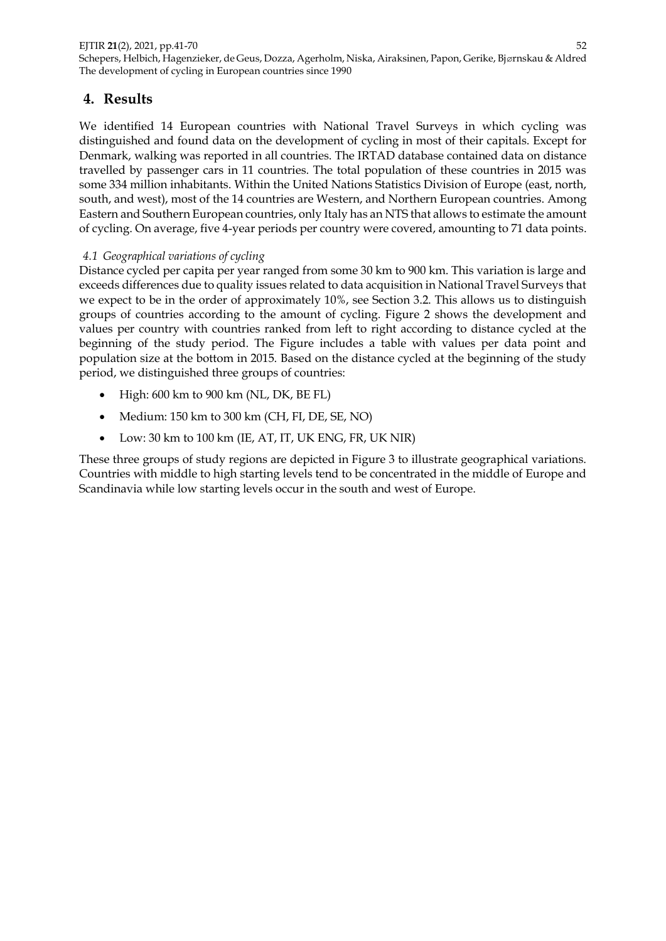# **4. Results**

We identified 14 European countries with National Travel Surveys in which cycling was distinguished and found data on the development of cycling in most of their capitals. Except for Denmark, walking was reported in all countries. The IRTAD database contained data on distance travelled by passenger cars in 11 countries. The total population of these countries in 2015 was some 334 million inhabitants. Within the United Nations Statistics Division of Europe (east, north, south, and west), most of the 14 countries are Western, and Northern European countries. Among Eastern and Southern European countries, only Italy has an NTS that allows to estimate the amount of cycling. On average, five 4-year periods per country were covered, amounting to 71 data points.

## *4.1 Geographical variations of cycling*

Distance cycled per capita per year ranged from some 30 km to 900 km. This variation is large and exceeds differences due to quality issues related to data acquisition in National Travel Surveys that we expect to be in the order of approximately 10%, see Section 3.2. This allows us to distinguish groups of countries according to the amount of cycling. Figure 2 shows the development and values per country with countries ranked from left to right according to distance cycled at the beginning of the study period. The Figure includes a table with values per data point and population size at the bottom in 2015. Based on the distance cycled at the beginning of the study period, we distinguished three groups of countries:

- $\bullet$  High: 600 km to 900 km (NL, DK, BE FL)
- Medium: 150 km to 300 km (CH, FI, DE, SE, NO)
- Low: 30 km to 100 km (IE, AT, IT, UK ENG, FR, UK NIR)

These three groups of study regions are depicted in Figure 3 to illustrate geographical variations. Countries with middle to high starting levels tend to be concentrated in the middle of Europe and Scandinavia while low starting levels occur in the south and west of Europe.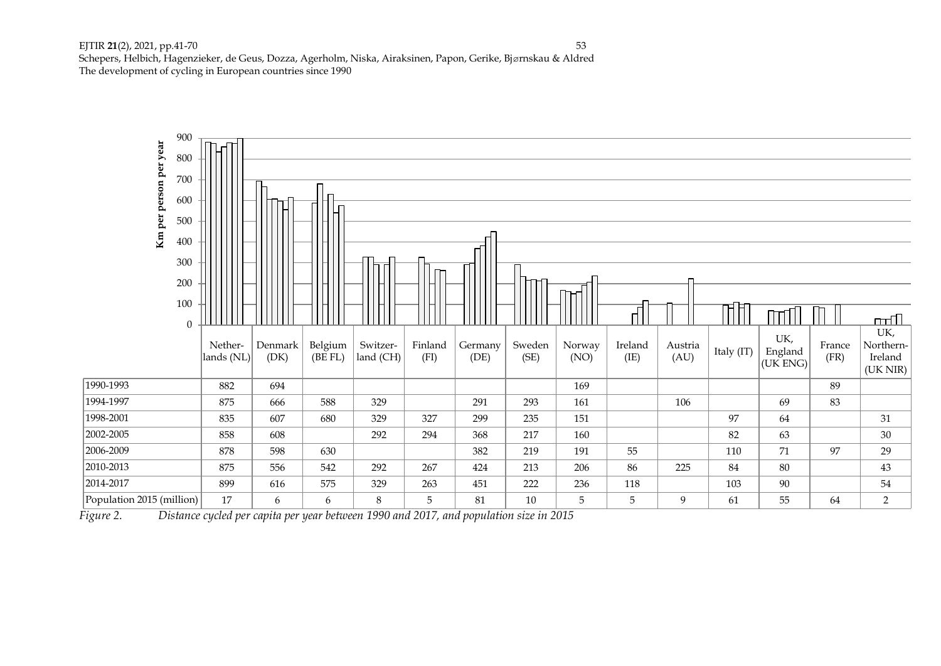

*Figure 2. Distance cycled per capita per year between 1990 and 2017, and population size in 2015*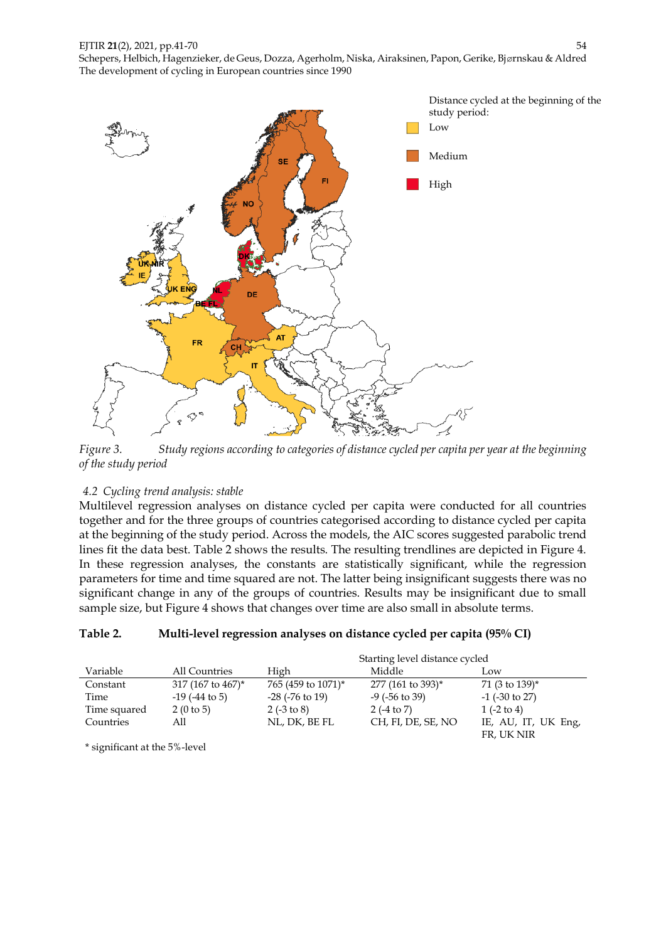

*Figure 3. Study regions according to categories of distance cycled per capita per year at the beginning of the study period*

# *4.2 Cycling trend analysis: stable*

Multilevel regression analyses on distance cycled per capita were conducted for all countries together and for the three groups of countries categorised according to distance cycled per capita at the beginning of the study period. Across the models, the AIC scores suggested parabolic trend lines fit the data best. Table 2 shows the results. The resulting trendlines are depicted in Figure 4. In these regression analyses, the constants are statistically significant, while the regression parameters for time and time squared are not. The latter being insignificant suggests there was no significant change in any of the groups of countries. Results may be insignificant due to small sample size, but Figure 4 shows that changes over time are also small in absolute terms.

# **Table 2. Multi-level regression analyses on distance cycled per capita (95% CI)**

|              |                     | Starting level distance cycled |                     |                       |  |
|--------------|---------------------|--------------------------------|---------------------|-----------------------|--|
| Variable     | All Countries       | High                           | Middle              | Low.                  |  |
| Constant     | 317 (167 to 467)*   | 765 (459 to 1071)*             | 277 (161 to 393)*   | 71 (3 to 139)*        |  |
| Time         | $-19$ ( $-44$ to 5) | $-28$ ( $-76$ to 19)           | $-9$ ( $-56$ to 39) | $-1$ ( $-30$ to 27)   |  |
| Time squared | 2(0 to 5)           | $2(-3 \text{ to } 8)$          | $2(-4 to 7)$        | $1(-2 \text{ to } 4)$ |  |
| Countries    | All                 | NL, DK, BE FL                  | CH, FI, DE, SE, NO  | IE, AU, IT, UK Eng,   |  |
|              |                     |                                |                     | FR, UK NIR            |  |

\* significant at the 5%-level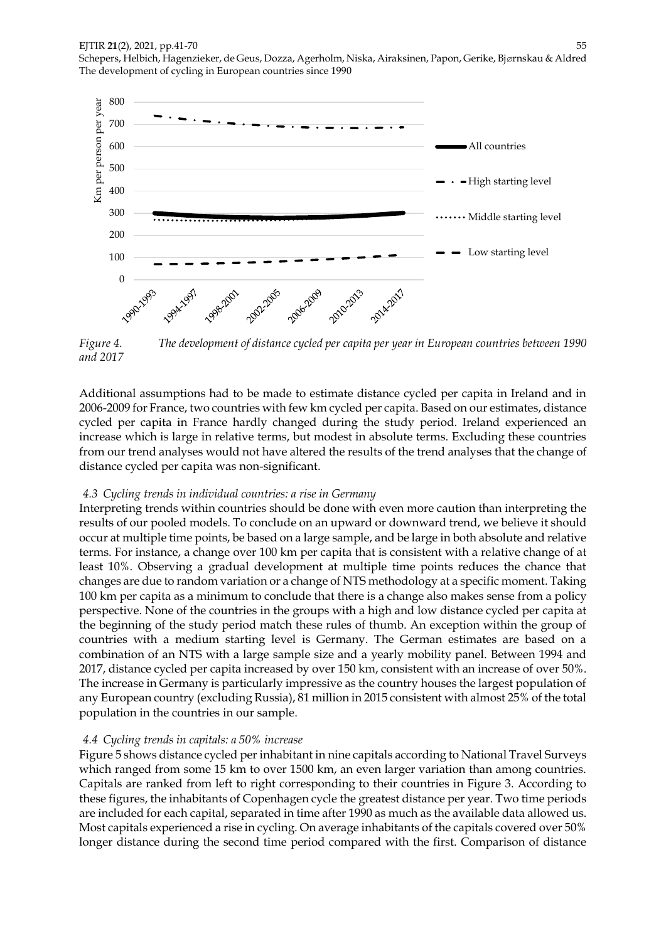Schepers, Helbich, Hagenzieker, de Geus, Dozza, Agerholm, Niska, Airaksinen, Papon, Gerike, Bjørnskau & Aldred The development of cycling in European countries since 1990



*Figure 4. The development of distance cycled per capita per year in European countries between 1990 and 2017*

Additional assumptions had to be made to estimate distance cycled per capita in Ireland and in 2006-2009 for France, two countries with few km cycled per capita. Based on our estimates, distance cycled per capita in France hardly changed during the study period. Ireland experienced an increase which is large in relative terms, but modest in absolute terms. Excluding these countries from our trend analyses would not have altered the results of the trend analyses that the change of distance cycled per capita was non-significant.

### *4.3 Cycling trends in individual countries: a rise in Germany*

Interpreting trends within countries should be done with even more caution than interpreting the results of our pooled models. To conclude on an upward or downward trend, we believe it should occur at multiple time points, be based on a large sample, and be large in both absolute and relative terms. For instance, a change over 100 km per capita that is consistent with a relative change of at least 10%. Observing a gradual development at multiple time points reduces the chance that changes are due to random variation or a change of NTS methodology at a specific moment. Taking 100 km per capita as a minimum to conclude that there is a change also makes sense from a policy perspective. None of the countries in the groups with a high and low distance cycled per capita at the beginning of the study period match these rules of thumb. An exception within the group of countries with a medium starting level is Germany. The German estimates are based on a combination of an NTS with a large sample size and a yearly mobility panel. Between 1994 and 2017, distance cycled per capita increased by over 150 km, consistent with an increase of over 50%. The increase in Germany is particularly impressive as the country houses the largest population of any European country (excluding Russia), 81 million in 2015 consistent with almost 25% of the total population in the countries in our sample.

#### *4.4 Cycling trends in capitals: a 50% increase*

Figure 5 shows distance cycled per inhabitant in nine capitals according to National Travel Surveys which ranged from some 15 km to over 1500 km, an even larger variation than among countries. Capitals are ranked from left to right corresponding to their countries in Figure 3. According to these figures, the inhabitants of Copenhagen cycle the greatest distance per year. Two time periods are included for each capital, separated in time after 1990 as much as the available data allowed us. Most capitals experienced a rise in cycling. On average inhabitants of the capitals covered over 50% longer distance during the second time period compared with the first. Comparison of distance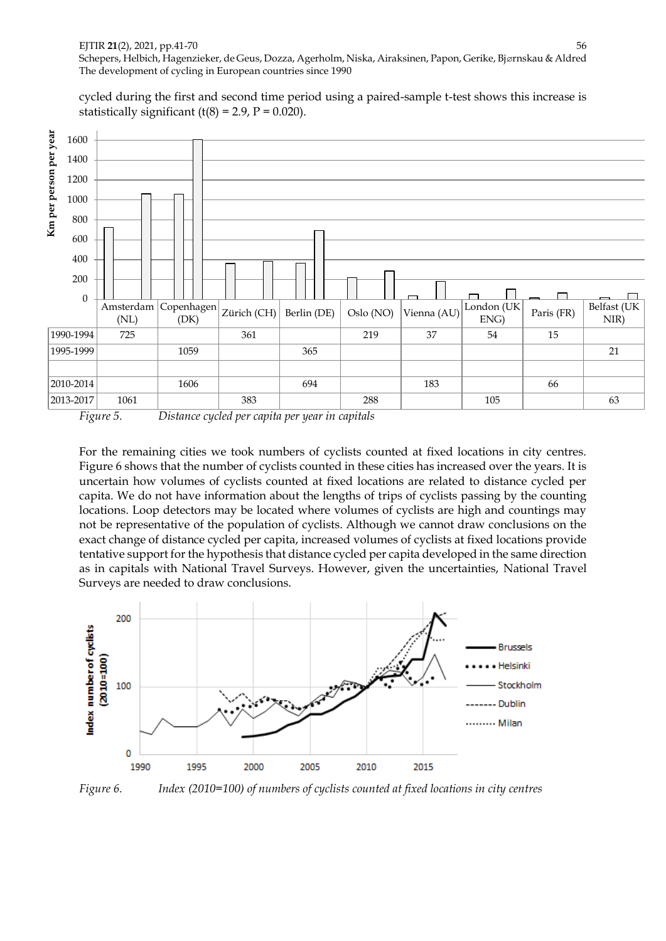cycled during the first and second time period using a paired-sample t-test shows this increase is statistically significant (t(8) = 2.9,  $P = 0.020$ ).



*Figure 5. Distance cycled per capita per year in capitals*

For the remaining cities we took numbers of cyclists counted at fixed locations in city centres. Figure 6 shows that the number of cyclists counted in these cities has increased over the years. It is uncertain how volumes of cyclists counted at fixed locations are related to distance cycled per capita. We do not have information about the lengths of trips of cyclists passing by the counting locations. Loop detectors may be located where volumes of cyclists are high and countings may not be representative of the population of cyclists. Although we cannot draw conclusions on the exact change of distance cycled per capita, increased volumes of cyclists at fixed locations provide tentative support for the hypothesis that distance cycled per capita developed in the same direction as in capitals with National Travel Surveys. However, given the uncertainties, National Travel Surveys are needed to draw conclusions.



*Figure 6. Index (2010=100) of numbers of cyclists counted at fixed locations in city centres*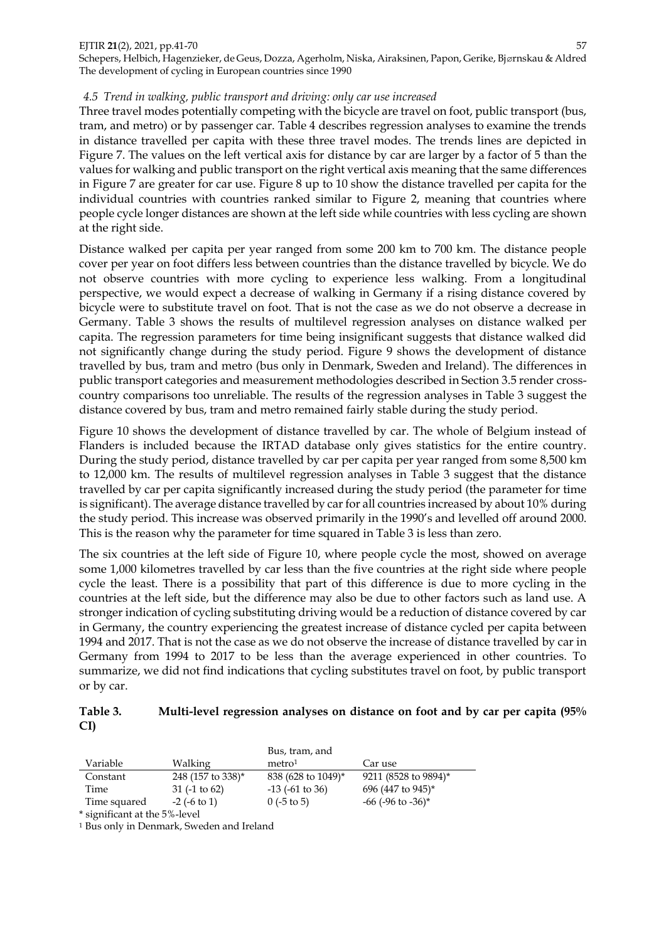Schepers, Helbich, Hagenzieker, de Geus, Dozza, Agerholm, Niska, Airaksinen, Papon, Gerike, Bjørnskau & Aldred The development of cycling in European countries since 1990

### *4.5 Trend in walking, public transport and driving: only car use increased*

Three travel modes potentially competing with the bicycle are travel on foot, public transport (bus, tram, and metro) or by passenger car. Table 4 describes regression analyses to examine the trends in distance travelled per capita with these three travel modes. The trends lines are depicted in Figure 7. The values on the left vertical axis for distance by car are larger by a factor of 5 than the values for walking and public transport on the right vertical axis meaning that the same differences in Figure 7 are greater for car use. Figure 8 up to 10 show the distance travelled per capita for the individual countries with countries ranked similar to Figure 2, meaning that countries where people cycle longer distances are shown at the left side while countries with less cycling are shown at the right side.

Distance walked per capita per year ranged from some 200 km to 700 km. The distance people cover per year on foot differs less between countries than the distance travelled by bicycle. We do not observe countries with more cycling to experience less walking. From a longitudinal perspective, we would expect a decrease of walking in Germany if a rising distance covered by bicycle were to substitute travel on foot. That is not the case as we do not observe a decrease in Germany. Table 3 shows the results of multilevel regression analyses on distance walked per capita. The regression parameters for time being insignificant suggests that distance walked did not significantly change during the study period. Figure 9 shows the development of distance travelled by bus, tram and metro (bus only in Denmark, Sweden and Ireland). The differences in public transport categories and measurement methodologies described in Section 3.5 render crosscountry comparisons too unreliable. The results of the regression analyses in Table 3 suggest the distance covered by bus, tram and metro remained fairly stable during the study period.

Figure 10 shows the development of distance travelled by car. The whole of Belgium instead of Flanders is included because the IRTAD database only gives statistics for the entire country. During the study period, distance travelled by car per capita per year ranged from some 8,500 km to 12,000 km. The results of multilevel regression analyses in Table 3 suggest that the distance travelled by car per capita significantly increased during the study period (the parameter for time is significant). The average distance travelled by car for all countries increased by about 10% during the study period. This increase was observed primarily in the 1990's and levelled off around 2000. This is the reason why the parameter for time squared in Table 3 is less than zero.

The six countries at the left side of Figure 10, where people cycle the most, showed on average some 1,000 kilometres travelled by car less than the five countries at the right side where people cycle the least. There is a possibility that part of this difference is due to more cycling in the countries at the left side, but the difference may also be due to other factors such as land use. A stronger indication of cycling substituting driving would be a reduction of distance covered by car in Germany, the country experiencing the greatest increase of distance cycled per capita between 1994 and 2017. That is not the case as we do not observe the increase of distance travelled by car in Germany from 1994 to 2017 to be less than the average experienced in other countries. To summarize, we did not find indications that cycling substitutes travel on foot, by public transport or by car.

### **Table 3. Multi-level regression analyses on distance on foot and by car per capita (95% CI)**

|              |                   | Bus, tram, and       |                           |
|--------------|-------------------|----------------------|---------------------------|
| Variable     | Walking           | metro <sup>1</sup>   | Car use                   |
| Constant     | 248 (157 to 338)* | 838 (628 to 1049)*   | 9211 (8528 to 9894)*      |
| Time         | $31$ (-1 to 62)   | $-13$ ( $-61$ to 36) | 696 (447 to 945)*         |
| Time squared | $-2$ ( $-6$ to 1) | $0$ (-5 to 5)        | $-66$ ( $-96$ to $-36$ )* |
|              |                   |                      |                           |

\* significant at the 5%-level

<sup>1</sup> Bus only in Denmark, Sweden and Ireland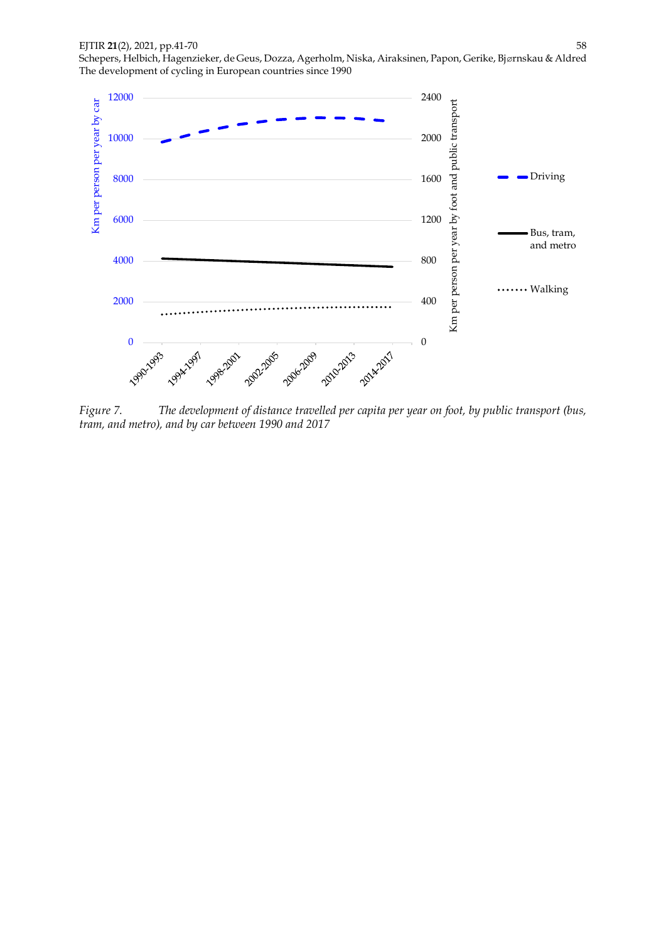

*Figure 7. The development of distance travelled per capita per year on foot, by public transport (bus, tram, and metro), and by car between 1990 and 2017*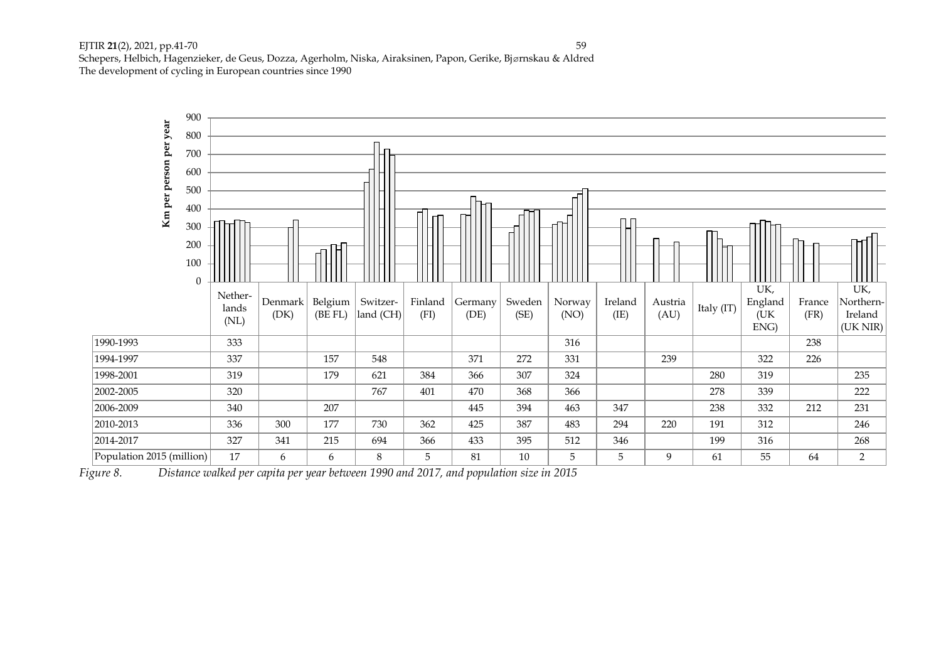

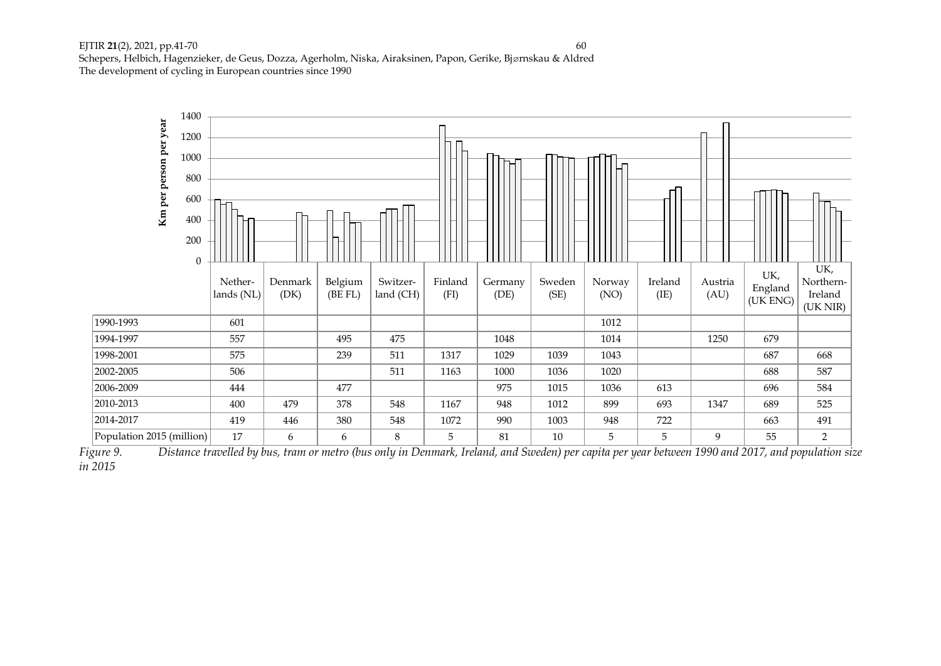

*Figure 9. Distance travelled by bus, tram or metro (bus only in Denmark, Ireland, and Sweden) per capita per year between 1990 and 2017, and population size in 2015*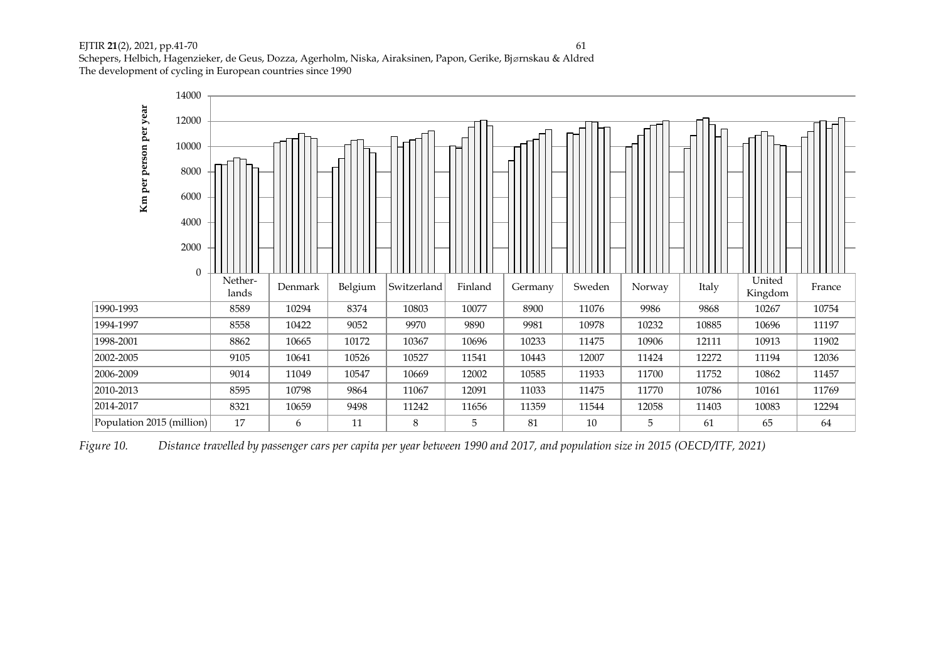

*Figure 10. Distance travelled by passenger cars per capita per year between 1990 and 2017, and population size in 2015 (OECD/ITF, 2021)*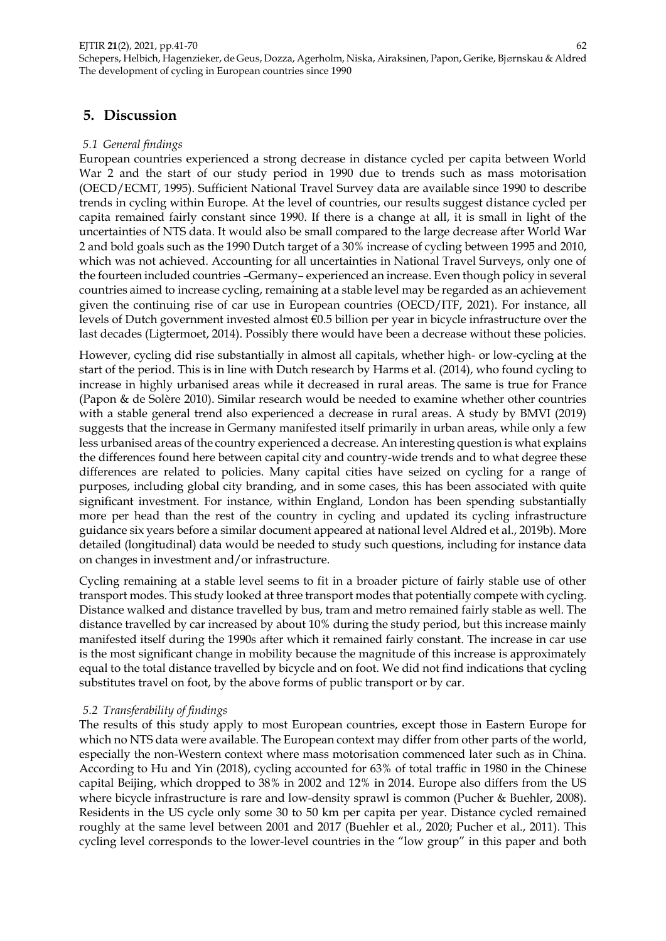# **5. Discussion**

# *5.1 General findings*

European countries experienced a strong decrease in distance cycled per capita between World War 2 and the start of our study period in 1990 due to trends such as mass motorisation (OECD/ECMT, 1995). Sufficient National Travel Survey data are available since 1990 to describe trends in cycling within Europe. At the level of countries, our results suggest distance cycled per capita remained fairly constant since 1990. If there is a change at all, it is small in light of the uncertainties of NTS data. It would also be small compared to the large decrease after World War 2 and bold goals such as the 1990 Dutch target of a 30% increase of cycling between 1995 and 2010, which was not achieved. Accounting for all uncertainties in National Travel Surveys, only one of the fourteen included countries –Germany– experienced an increase. Even though policy in several countries aimed to increase cycling, remaining at a stable level may be regarded as an achievement given the continuing rise of car use in European countries (OECD/ITF, 2021). For instance, all levels of Dutch government invested almost €0.5 billion per year in bicycle infrastructure over the last decades (Ligtermoet, 2014). Possibly there would have been a decrease without these policies.

However, cycling did rise substantially in almost all capitals, whether high- or low-cycling at the start of the period. This is in line with Dutch research by Harms et al. (2014), who found cycling to increase in highly urbanised areas while it decreased in rural areas. The same is true for France (Papon & de Solère 2010). Similar research would be needed to examine whether other countries with a stable general trend also experienced a decrease in rural areas. A study by BMVI (2019) suggests that the increase in Germany manifested itself primarily in urban areas, while only a few less urbanised areas of the country experienced a decrease. An interesting question is what explains the differences found here between capital city and country-wide trends and to what degree these differences are related to policies. Many capital cities have seized on cycling for a range of purposes, including global city branding, and in some cases, this has been associated with quite significant investment. For instance, within England, London has been spending substantially more per head than the rest of the country in cycling and updated its cycling infrastructure guidance six years before a similar document appeared at national level Aldred et al., 2019b). More detailed (longitudinal) data would be needed to study such questions, including for instance data on changes in investment and/or infrastructure.

Cycling remaining at a stable level seems to fit in a broader picture of fairly stable use of other transport modes. This study looked at three transport modes that potentially compete with cycling. Distance walked and distance travelled by bus, tram and metro remained fairly stable as well. The distance travelled by car increased by about 10% during the study period, but this increase mainly manifested itself during the 1990s after which it remained fairly constant. The increase in car use is the most significant change in mobility because the magnitude of this increase is approximately equal to the total distance travelled by bicycle and on foot. We did not find indications that cycling substitutes travel on foot, by the above forms of public transport or by car.

## *5.2 Transferability of findings*

The results of this study apply to most European countries, except those in Eastern Europe for which no NTS data were available. The European context may differ from other parts of the world, especially the non-Western context where mass motorisation commenced later such as in China. According to Hu and Yin (2018), cycling accounted for 63% of total traffic in 1980 in the Chinese capital Beijing, which dropped to 38% in 2002 and 12% in 2014. Europe also differs from the US where bicycle infrastructure is rare and low-density sprawl is common (Pucher & Buehler, 2008). Residents in the US cycle only some 30 to 50 km per capita per year. Distance cycled remained roughly at the same level between 2001 and 2017 (Buehler et al., 2020; Pucher et al., 2011). This cycling level corresponds to the lower-level countries in the "low group" in this paper and both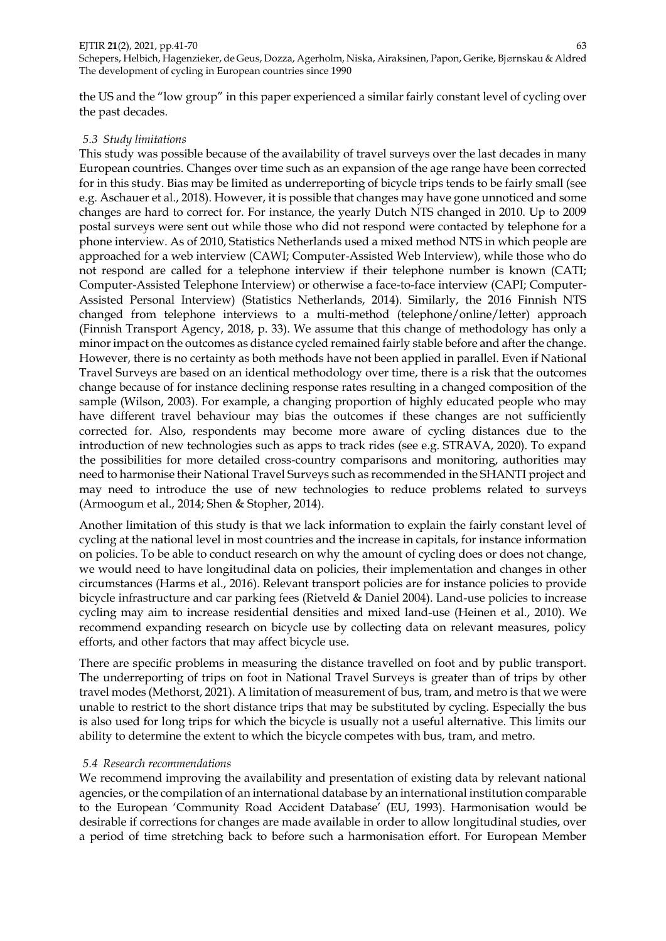the US and the "low group" in this paper experienced a similar fairly constant level of cycling over the past decades.

### *5.3 Study limitations*

This study was possible because of the availability of travel surveys over the last decades in many European countries. Changes over time such as an expansion of the age range have been corrected for in this study. Bias may be limited as underreporting of bicycle trips tends to be fairly small (see e.g. Aschauer et al., 2018). However, it is possible that changes may have gone unnoticed and some changes are hard to correct for. For instance, the yearly Dutch NTS changed in 2010. Up to 2009 postal surveys were sent out while those who did not respond were contacted by telephone for a phone interview. As of 2010, Statistics Netherlands used a mixed method NTS in which people are approached for a web interview (CAWI; Computer-Assisted Web Interview), while those who do not respond are called for a telephone interview if their telephone number is known (CATI; Computer-Assisted Telephone Interview) or otherwise a face-to-face interview (CAPI; Computer-Assisted Personal Interview) (Statistics Netherlands, 2014). Similarly, the 2016 Finnish NTS changed from telephone interviews to a multi-method (telephone/online/letter) approach (Finnish Transport Agency, 2018, p. 33). We assume that this change of methodology has only a minor impact on the outcomes as distance cycled remained fairly stable before and after the change. However, there is no certainty as both methods have not been applied in parallel. Even if National Travel Surveys are based on an identical methodology over time, there is a risk that the outcomes change because of for instance declining response rates resulting in a changed composition of the sample (Wilson, 2003). For example, a changing proportion of highly educated people who may have different travel behaviour may bias the outcomes if these changes are not sufficiently corrected for. Also, respondents may become more aware of cycling distances due to the introduction of new technologies such as apps to track rides (see e.g. STRAVA, 2020). To expand the possibilities for more detailed cross-country comparisons and monitoring, authorities may need to harmonise their National Travel Surveys such as recommended in the SHANTI project and may need to introduce the use of new technologies to reduce problems related to surveys (Armoogum et al., 2014; Shen & Stopher, 2014).

Another limitation of this study is that we lack information to explain the fairly constant level of cycling at the national level in most countries and the increase in capitals, for instance information on policies. To be able to conduct research on why the amount of cycling does or does not change, we would need to have longitudinal data on policies, their implementation and changes in other circumstances (Harms et al., 2016). Relevant transport policies are for instance policies to provide bicycle infrastructure and car parking fees (Rietveld & Daniel 2004). Land-use policies to increase cycling may aim to increase residential densities and mixed land-use (Heinen et al., 2010). We recommend expanding research on bicycle use by collecting data on relevant measures, policy efforts, and other factors that may affect bicycle use.

There are specific problems in measuring the distance travelled on foot and by public transport. The underreporting of trips on foot in National Travel Surveys is greater than of trips by other travel modes (Methorst, 2021). A limitation of measurement of bus, tram, and metro is that we were unable to restrict to the short distance trips that may be substituted by cycling. Especially the bus is also used for long trips for which the bicycle is usually not a useful alternative. This limits our ability to determine the extent to which the bicycle competes with bus, tram, and metro.

### *5.4 Research recommendations*

We recommend improving the availability and presentation of existing data by relevant national agencies, or the compilation of an international database by an international institution comparable to the European 'Community Road Accident Database' (EU, 1993). Harmonisation would be desirable if corrections for changes are made available in order to allow longitudinal studies, over a period of time stretching back to before such a harmonisation effort. For European Member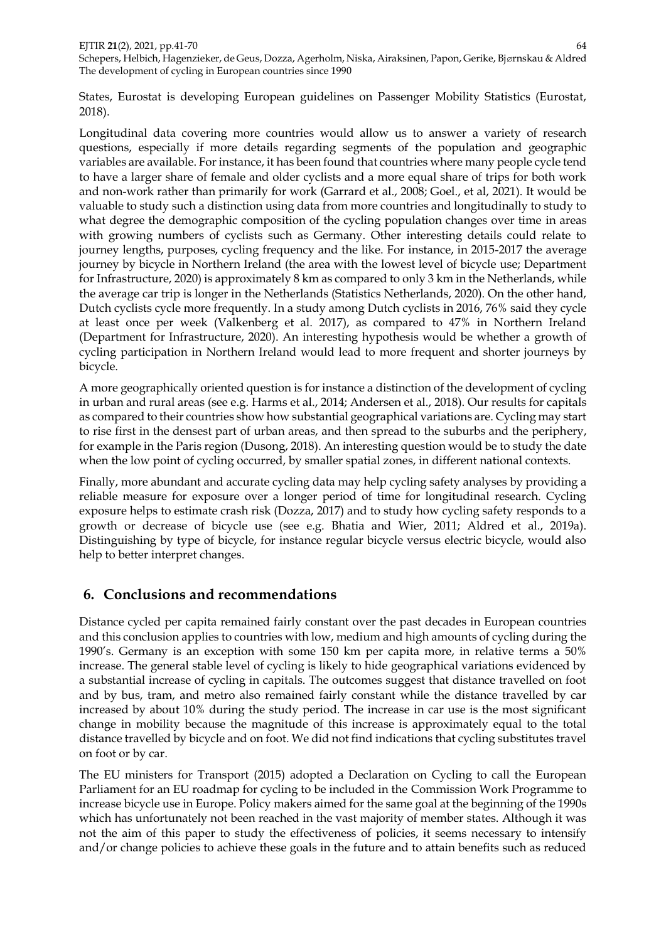States, Eurostat is developing European guidelines on Passenger Mobility Statistics (Eurostat, 2018).

Longitudinal data covering more countries would allow us to answer a variety of research questions, especially if more details regarding segments of the population and geographic variables are available. For instance, it has been found that countries where many people cycle tend to have a larger share of female and older cyclists and a more equal share of trips for both work and non-work rather than primarily for work (Garrard et al., 2008; Goel., et al, 2021). It would be valuable to study such a distinction using data from more countries and longitudinally to study to what degree the demographic composition of the cycling population changes over time in areas with growing numbers of cyclists such as Germany. Other interesting details could relate to journey lengths, purposes, cycling frequency and the like. For instance, in 2015-2017 the average journey by bicycle in Northern Ireland (the area with the lowest level of bicycle use; Department for Infrastructure, 2020) is approximately 8 km as compared to only 3 km in the Netherlands, while the average car trip is longer in the Netherlands (Statistics Netherlands, 2020). On the other hand, Dutch cyclists cycle more frequently. In a study among Dutch cyclists in 2016, 76% said they cycle at least once per week (Valkenberg et al. 2017), as compared to 47% in Northern Ireland (Department for Infrastructure, 2020). An interesting hypothesis would be whether a growth of cycling participation in Northern Ireland would lead to more frequent and shorter journeys by bicycle.

A more geographically oriented question is for instance a distinction of the development of cycling in urban and rural areas (see e.g. Harms et al., 2014; Andersen et al., 2018). Our results for capitals as compared to their countries show how substantial geographical variations are. Cycling may start to rise first in the densest part of urban areas, and then spread to the suburbs and the periphery, for example in the Paris region (Dusong, 2018). An interesting question would be to study the date when the low point of cycling occurred, by smaller spatial zones, in different national contexts.

Finally, more abundant and accurate cycling data may help cycling safety analyses by providing a reliable measure for exposure over a longer period of time for longitudinal research. Cycling exposure helps to estimate crash risk (Dozza, 2017) and to study how cycling safety responds to a growth or decrease of bicycle use (see e.g. Bhatia and Wier, 2011; Aldred et al., 2019a). Distinguishing by type of bicycle, for instance regular bicycle versus electric bicycle, would also help to better interpret changes.

# **6. Conclusions and recommendations**

Distance cycled per capita remained fairly constant over the past decades in European countries and this conclusion applies to countries with low, medium and high amounts of cycling during the 1990's. Germany is an exception with some 150 km per capita more, in relative terms a 50% increase. The general stable level of cycling is likely to hide geographical variations evidenced by a substantial increase of cycling in capitals. The outcomes suggest that distance travelled on foot and by bus, tram, and metro also remained fairly constant while the distance travelled by car increased by about 10% during the study period. The increase in car use is the most significant change in mobility because the magnitude of this increase is approximately equal to the total distance travelled by bicycle and on foot. We did not find indications that cycling substitutes travel on foot or by car.

The EU ministers for Transport (2015) adopted a Declaration on Cycling to call the European Parliament for an EU roadmap for cycling to be included in the Commission Work Programme to increase bicycle use in Europe. Policy makers aimed for the same goal at the beginning of the 1990s which has unfortunately not been reached in the vast majority of member states. Although it was not the aim of this paper to study the effectiveness of policies, it seems necessary to intensify and/or change policies to achieve these goals in the future and to attain benefits such as reduced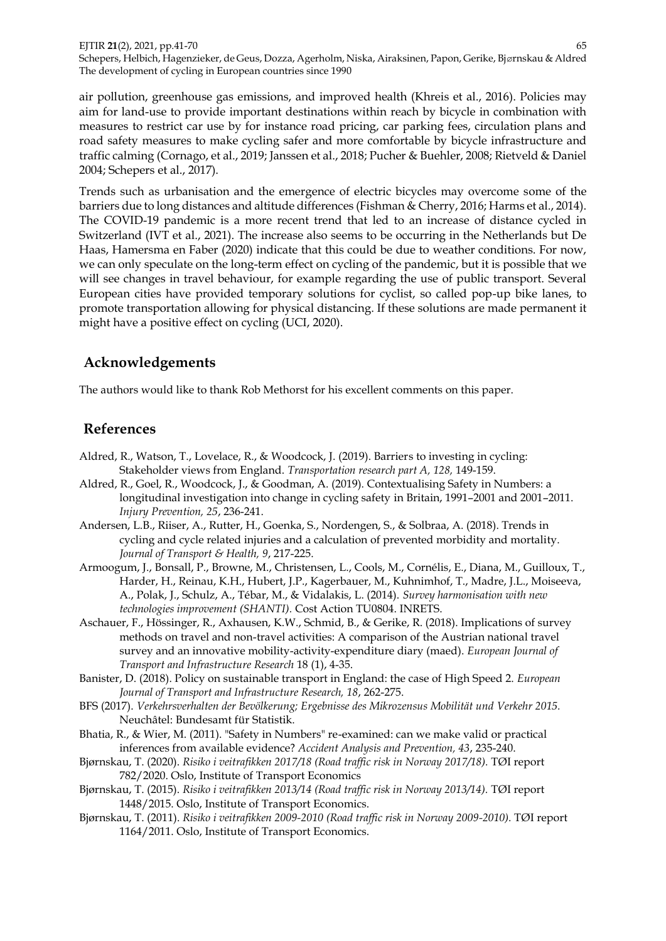air pollution, greenhouse gas emissions, and improved health (Khreis et al., 2016). Policies may aim for land-use to provide important destinations within reach by bicycle in combination with measures to restrict car use by for instance road pricing, car parking fees, circulation plans and road safety measures to make cycling safer and more comfortable by bicycle infrastructure and traffic calming (Cornago, et al., 2019; Janssen et al., 2018; Pucher & Buehler, 2008; Rietveld & Daniel 2004; Schepers et al., 2017).

Trends such as urbanisation and the emergence of electric bicycles may overcome some of the barriers due to long distances and altitude differences (Fishman & Cherry, 2016; Harms et al., 2014). The COVID-19 pandemic is a more recent trend that led to an increase of distance cycled in Switzerland (IVT et al., 2021). The increase also seems to be occurring in the Netherlands but De Haas, Hamersma en Faber (2020) indicate that this could be due to weather conditions. For now, we can only speculate on the long-term effect on cycling of the pandemic, but it is possible that we will see changes in travel behaviour, for example regarding the use of public transport. Several European cities have provided temporary solutions for cyclist, so called pop-up bike lanes, to promote transportation allowing for physical distancing. If these solutions are made permanent it might have a positive effect on cycling (UCI, 2020).

# **Acknowledgements**

The authors would like to thank Rob Methorst for his excellent comments on this paper.

# **References**

- Aldred, R., Watson, T., Lovelace, R., & Woodcock, J. (2019). Barriers to investing in cycling: Stakeholder views from England. *Transportation research part A, 128,* 149-159.
- Aldred, R., Goel, R., Woodcock, J., & Goodman, A. (2019). Contextualising Safety in Numbers: a longitudinal investigation into change in cycling safety in Britain, 1991–2001 and 2001–2011. *Injury Prevention, 25*, 236-241.
- Andersen, L.B., Riiser, A., Rutter, H., Goenka, S., Nordengen, S., & Solbraa, A. (2018). Trends in cycling and cycle related injuries and a calculation of prevented morbidity and mortality. *Journal of Transport & Health, 9*, 217-225.
- Armoogum, J., Bonsall, P., Browne, M., Christensen, L., Cools, M., Cornélis, E., Diana, M., Guilloux, T., Harder, H., Reinau, K.H., Hubert, J.P., Kagerbauer, M., Kuhnimhof, T., Madre, J.L., Moiseeva, A., Polak, J., Schulz, A., Tébar, M., & Vidalakis, L. (2014). *Survey harmonisation with new technologies improvement (SHANTI).* Cost Action TU0804. INRETS.
- Aschauer, F., Hössinger, R., Axhausen, K.W., Schmid, B., & Gerike, R. (2018). Implications of survey methods on travel and non-travel activities: A comparison of the Austrian national travel survey and an innovative mobility-activity-expenditure diary (maed). *European Journal of Transport and Infrastructure Research* 18 (1), 4-35.
- Banister, D. (2018). Policy on sustainable transport in England: the case of High Speed 2. *European Journal of Transport and Infrastructure Research, 18*, 262-275.
- BFS (2017). *Verkehrsverhalten der Bevölkerung; Ergebnisse des Mikrozensus Mobilität und Verkehr 2015.* Neuchâtel: Bundesamt für Statistik.
- Bhatia, R., & Wier, M. (2011). "Safety in Numbers" re-examined: can we make valid or practical inferences from available evidence? *Accident Analysis and Prevention, 43*, 235-240.
- Bjørnskau, T. (2020). *Risiko i veitrafikken 2017/18 (Road traffic risk in Norway 2017/18).* TØI report 782/2020. Oslo, Institute of Transport Economics
- Bjørnskau, T. (2015). *Risiko i veitrafikken 2013/14 (Road traffic risk in Norway 2013/14).* TØI report 1448/2015. Oslo, Institute of Transport Economics.
- Bjørnskau, T. (2011). *Risiko i veitrafikken 2009-2010 (Road traffic risk in Norway 2009-2010).* TØI report 1164/2011. Oslo, Institute of Transport Economics.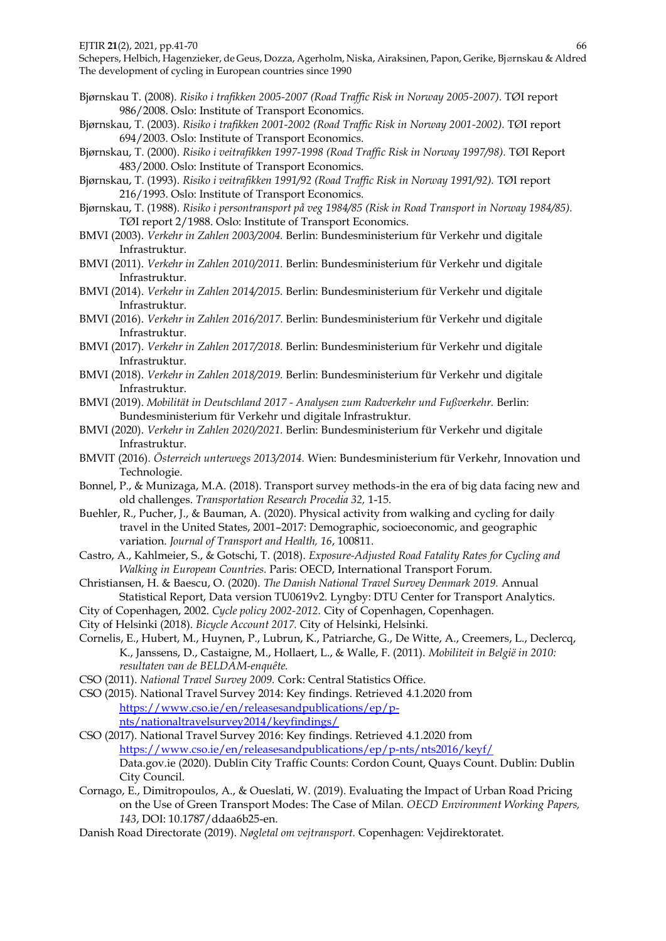- Bjørnskau T. (2008). *Risiko i trafikken 2005-2007 (Road Traffic Risk in Norway 2005-2007).* TØI report 986/2008. Oslo: Institute of Transport Economics.
- Bjørnskau, T. (2003). *Risiko i trafikken 2001-2002 (Road Traffic Risk in Norway 2001-2002).* TØI report 694/2003. Oslo: Institute of Transport Economics.
- Bjørnskau, T. (2000). *Risiko i veitrafikken 1997-1998 (Road Traffic Risk in Norway 1997/98).* TØI Report 483/2000. Oslo: Institute of Transport Economics.
- Bjørnskau, T. (1993). *Risiko i veitrafikken 1991/92 (Road Traffic Risk in Norway 1991/92).* TØI report 216/1993. Oslo: Institute of Transport Economics.
- Bjørnskau, T. (1988). *Risiko i persontransport på veg 1984/85 (Risk in Road Transport in Norway 1984/85).*  TØI report 2/1988. Oslo: Institute of Transport Economics.
- BMVI (2003). *Verkehr in Zahlen 2003/2004.* Berlin: Bundesministerium für Verkehr und digitale Infrastruktur.
- BMVI (2011). *Verkehr in Zahlen 2010/2011.* Berlin: Bundesministerium für Verkehr und digitale Infrastruktur.
- BMVI (2014). *Verkehr in Zahlen 2014/2015.* Berlin: Bundesministerium für Verkehr und digitale Infrastruktur.
- BMVI (2016). *Verkehr in Zahlen 2016/2017.* Berlin: Bundesministerium für Verkehr und digitale Infrastruktur.
- BMVI (2017). *Verkehr in Zahlen 2017/2018.* Berlin: Bundesministerium für Verkehr und digitale Infrastruktur.
- BMVI (2018). *Verkehr in Zahlen 2018/2019.* Berlin: Bundesministerium für Verkehr und digitale Infrastruktur.
- BMVI (2019). *Mobilität in Deutschland 2017 - Analysen zum Radverkehr und Fußverkehr.* Berlin: Bundesministerium für Verkehr und digitale Infrastruktur.
- BMVI (2020). *Verkehr in Zahlen 2020/2021.* Berlin: Bundesministerium für Verkehr und digitale Infrastruktur.
- BMVIT (2016). *Österreich unterwegs 2013/2014.* Wien: Bundesministerium für Verkehr, Innovation und Technologie.
- Bonnel, P., & Munizaga, M.A. (2018). Transport survey methods-in the era of big data facing new and old challenges. *Transportation Research Procedia 32,* 1-15.
- Buehler, R., Pucher, J., & Bauman, A. (2020). Physical activity from walking and cycling for daily travel in the United States, 2001–2017: Demographic, socioeconomic, and geographic variation. *Journal of Transport and Health, 16*, 100811.
- Castro, A., Kahlmeier, S., & Gotschi, T. (2018). *Exposure-Adjusted Road Fatality Rates for Cycling and Walking in European Countries.* Paris: OECD, International Transport Forum.
- Christiansen, H. & Baescu, O. (2020). *The Danish National Travel Survey Denmark 2019.* Annual Statistical Report, Data version TU0619v2. Lyngby: DTU Center for Transport Analytics.
- City of Copenhagen, 2002. *Cycle policy 2002-2012.* City of Copenhagen, Copenhagen.
- City of Helsinki (2018). *Bicycle Account 2017.* City of Helsinki, Helsinki.
- Cornelis, E., Hubert, M., Huynen, P., Lubrun, K., Patriarche, G., De Witte, A., Creemers, L., Declercq, K., Janssens, D., Castaigne, M., Hollaert, L., & Walle, F. (2011). *Mobiliteit in België in 2010: resultaten van de BELDAM-enquête.*
- CSO (2011). *National Travel Survey 2009.* Cork: Central Statistics Office.
- CSO (2015). National Travel Survey 2014: Key findings. Retrieved 4.1.2020 from [https://www.cso.ie/en/releasesandpublications/ep/p](https://www.cso.ie/en/releasesandpublications/ep/p-nts/nationaltravelsurvey2014/keyfindings/)[nts/nationaltravelsurvey2014/keyfindings/](https://www.cso.ie/en/releasesandpublications/ep/p-nts/nationaltravelsurvey2014/keyfindings/)
- CSO (2017). National Travel Survey 2016: Key findings. Retrieved 4.1.2020 from <https://www.cso.ie/en/releasesandpublications/ep/p-nts/nts2016/keyf/> Data.gov.ie (2020). Dublin City Traffic Counts: Cordon Count, Quays Count. Dublin: Dublin City Council.
- Cornago, E., Dimitropoulos, A., & Oueslati, W. (2019). Evaluating the Impact of Urban Road Pricing on the Use of Green Transport Modes: The Case of Milan. *OECD Environment Working Papers, 143*, DOI: 10.1787/ddaa6b25-en.
- Danish Road Directorate (2019). *Nøgletal om vejtransport.* Copenhagen: Vejdirektoratet.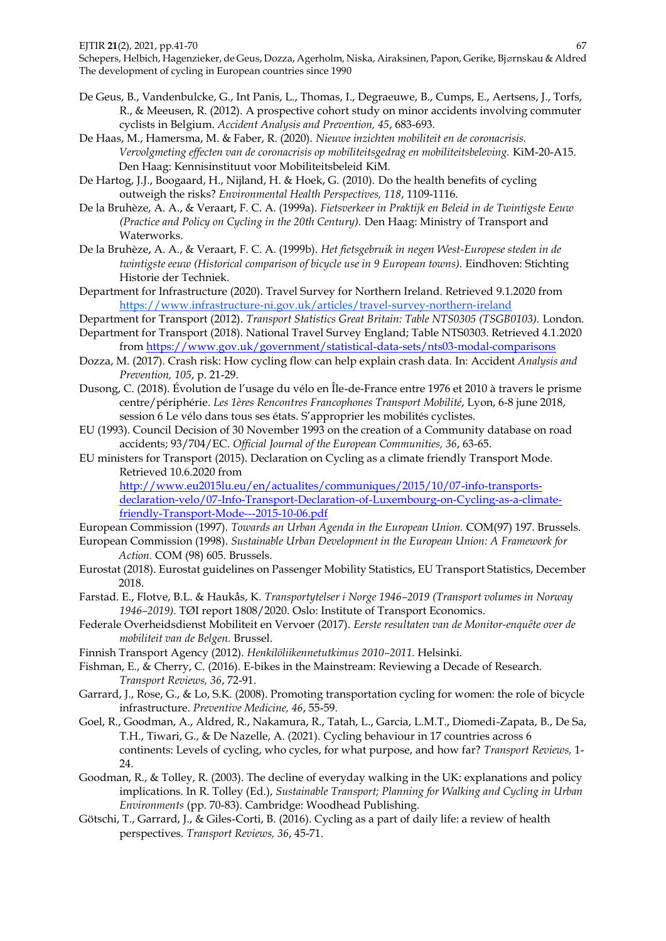- De Geus, B., Vandenbulcke, G., Int Panis, L., Thomas, I., Degraeuwe, B., Cumps, E., Aertsens, J., Torfs, R., & Meeusen, R. (2012). A prospective cohort study on minor accidents involving commuter cyclists in Belgium. *Accident Analysis and Prevention, 45*, 683-693.
- De Haas, M., Hamersma, M. & Faber, R. (2020). *Nieuwe inzichten mobiliteit en de coronacrisis. Vervolgmeting effecten van de coronacrisis op mobiliteitsgedrag en mobiliteitsbeleving.* KiM-20-A15. Den Haag: Kennisinstituut voor Mobiliteitsbeleid KiM.
- De Hartog, J.J., Boogaard, H., Nijland, H. & Hoek, G. (2010). Do the health benefits of cycling outweigh the risks? *Environmental Health Perspectives, 118*, 1109-1116.
- De la Bruhèze, A. A., & Veraart, F. C. A. (1999a). *Fietsverkeer in Praktijk en Beleid in de Twintigste Eeuw (Practice and Policy on Cycling in the 20th Century).* Den Haag: Ministry of Transport and Waterworks.
- De la Bruhèze, A. A., & Veraart, F. C. A. (1999b). *Het fietsgebruik in negen West-Europese steden in de twintigste eeuw (Historical comparison of bicycle use in 9 European towns).* Eindhoven: Stichting Historie der Techniek.
- Department for Infrastructure (2020). Travel Survey for Northern Ireland. Retrieved 9.1.2020 from <https://www.infrastructure-ni.gov.uk/articles/travel-survey-northern-ireland>
- Department for Transport (2012). *Transport Statistics Great Britain: Table NTS0305 (TSGB0103).* London.
- Department for Transport (2018). National Travel Survey England; Table NTS0303. Retrieved 4.1.2020 from<https://www.gov.uk/government/statistical-data-sets/nts03-modal-comparisons>
- Dozza, M. (2017). Crash risk: How cycling flow can help explain crash data. In: Accident *Analysis and Prevention, 105*, p. 21-29.
- Dusong, C. (2018). Évolution de l'usage du vélo en Île-de-France entre 1976 et 2010 à travers le prisme centre/périphérie. *Les 1ères Rencontres Francophones Transport Mobilité*, Lyon, 6-8 june 2018, session 6 Le vélo dans tous ses états. S'approprier les mobilités cyclistes.
- EU (1993). Council Decision of 30 November 1993 on the creation of a Community database on road accidents; 93/704/EC. *Official Journal of the European Communities, 36*, 63-65.
- EU ministers for Transport (2015). Declaration on Cycling as a climate friendly Transport Mode. Retrieved 10.6.2020 from

[http://www.eu2015lu.eu/en/actualites/communiques/2015/10/07-info-transports](http://www.eu2015lu.eu/en/actualites/communiques/2015/10/07-info-transports-declaration-velo/07-Info-Transport-Declaration-of-Luxembourg-on-Cycling-as-a-climate-friendly-Transport-Mode---2015-10-06.pdf)[declaration-velo/07-Info-Transport-Declaration-of-Luxembourg-on-Cycling-as-a-climate](http://www.eu2015lu.eu/en/actualites/communiques/2015/10/07-info-transports-declaration-velo/07-Info-Transport-Declaration-of-Luxembourg-on-Cycling-as-a-climate-friendly-Transport-Mode---2015-10-06.pdf)[friendly-Transport-Mode---2015-10-06.pdf](http://www.eu2015lu.eu/en/actualites/communiques/2015/10/07-info-transports-declaration-velo/07-Info-Transport-Declaration-of-Luxembourg-on-Cycling-as-a-climate-friendly-Transport-Mode---2015-10-06.pdf)

European Commission (1997). *Towards an Urban Agenda in the European Union.* COM(97) 197. Brussels.

- European Commission (1998). *Sustainable Urban Development in the European Union: A Framework for Action.* COM (98) 605. Brussels.
- Eurostat (2018). Eurostat guidelines on Passenger Mobility Statistics, EU Transport Statistics, December 2018.
- Farstad. E., Flotve, B.L. & Haukås, K. *Transportytelser i Norge 1946–2019 (Transport volumes in Norway 1946–2019).* TØI report 1808/2020. Oslo: Institute of Transport Economics.
- Federale Overheidsdienst Mobiliteit en Vervoer (2017). *Eerste resultaten van de Monitor-enquête over de mobiliteit van de Belgen.* Brussel.
- Finnish Transport Agency (2012). *Henkilöliikennetutkimus 2010–2011.* Helsinki.
- Fishman, E., & Cherry, C. (2016). E-bikes in the Mainstream: Reviewing a Decade of Research. *Transport Reviews, 36*, 72-91.
- Garrard, J., Rose, G., & Lo, S.K. (2008). Promoting transportation cycling for women: the role of bicycle infrastructure. *Preventive Medicine, 46*, 55-59.
- Goel, R., Goodman, A., Aldred, R., Nakamura, R., Tatah, L., Garcia, L.M.T., Diomedi-Zapata, B., De Sa, T.H., Tiwari, G., & De Nazelle, A. (2021). Cycling behaviour in 17 countries across 6 continents: Levels of cycling, who cycles, for what purpose, and how far? *Transport Reviews,* 1- 24.
- Goodman, R., & Tolley, R. (2003). The decline of everyday walking in the UK: explanations and policy implications. In R. Tolley (Ed.), *Sustainable Transport; Planning for Walking and Cycling in Urban Environments* (pp. 70-83). Cambridge: Woodhead Publishing.
- Götschi, T., Garrard, J., & Giles-Corti, B. (2016). Cycling as a part of daily life: a review of health perspectives. *Transport Reviews, 36*, 45-71.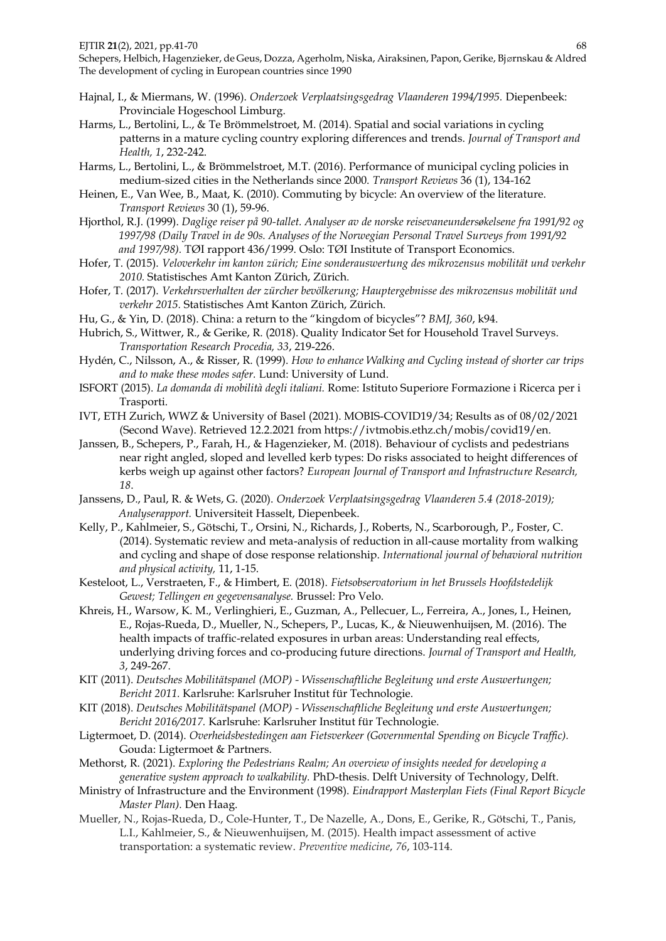- Hajnal, I., & Miermans, W. (1996). *Onderzoek Verplaatsingsgedrag Vlaanderen 1994/1995.* Diepenbeek: Provinciale Hogeschool Limburg.
- Harms, L., Bertolini, L., & Te Brömmelstroet, M. (2014). Spatial and social variations in cycling patterns in a mature cycling country exploring differences and trends. *Journal of Transport and Health, 1*, 232-242.
- Harms, L., Bertolini, L., & Brömmelstroet, M.T. (2016). Performance of municipal cycling policies in medium-sized cities in the Netherlands since 2000. *Transport Reviews* 36 (1), 134-162
- Heinen, E., Van Wee, B., Maat, K. (2010). Commuting by bicycle: An overview of the literature. *Transport Reviews* 30 (1), 59-96.
- Hjorthol, R.J. (1999). *Daglige reiser på 90-tallet. Analyser av de norske reisevaneundersøkelsene fra 1991/92 og 1997/98 (Daily Travel in de 90s. Analyses of the Norwegian Personal Travel Surveys from 1991/92 and 1997/98).* TØI rapport 436/1999. Oslo: TØI Institute of Transport Economics.
- Hofer, T. (2015). *Veloverkehr im kanton zürich; Eine sonderauswertung des mikrozensus mobilität und verkehr 2010.* Statistisches Amt Kanton Zürich, Zürich.
- Hofer, T. (2017). *Verkehrsverhalten der zürcher bevölkerung; Hauptergebnisse des mikrozensus mobilität und verkehr 2015.* Statistisches Amt Kanton Zürich, Zürich.
- Hu, G., & Yin, D. (2018). China: a return to the "kingdom of bicycles"? *BMJ, 360*, k94.
- Hubrich, S., Wittwer, R., & Gerike, R. (2018). Quality Indicator Set for Household Travel Surveys. *Transportation Research Procedia, 33*, 219-226.
- Hydén, C., Nilsson, A., & Risser, R. (1999). *How to enhance Walking and Cycling instead of shorter car trips and to make these modes safer.* Lund: University of Lund.
- ISFORT (2015). *La domanda di mobilità degli italiani.* Rome: Istituto Superiore Formazione i Ricerca per i Trasporti.
- IVT, ETH Zurich, WWZ & University of Basel (2021). MOBIS-COVID19/34; Results as of 08/02/2021 (Second Wave). Retrieved 12.2.2021 from https://ivtmobis.ethz.ch/mobis/covid19/en.
- Janssen, B., Schepers, P., Farah, H., & Hagenzieker, M. (2018). Behaviour of cyclists and pedestrians near right angled, sloped and levelled kerb types: Do risks associated to height differences of kerbs weigh up against other factors? *European Journal of Transport and Infrastructure Research, 18*.
- Janssens, D., Paul, R. & Wets, G. (2020). *Onderzoek Verplaatsingsgedrag Vlaanderen 5.4 (2018-2019); Analyserapport.* Universiteit Hasselt, Diepenbeek.
- Kelly, P., Kahlmeier, S., Götschi, T., Orsini, N., Richards, J., Roberts, N., Scarborough, P., Foster, C. (2014). Systematic review and meta-analysis of reduction in all-cause mortality from walking and cycling and shape of dose response relationship. *International journal of behavioral nutrition and physical activity,* 11, 1-15.
- Kesteloot, L., Verstraeten, F., & Himbert, E. (2018). *Fietsobservatorium in het Brussels Hoofdstedelijk Gewest; Tellingen en gegevensanalyse.* Brussel: Pro Velo.
- Khreis, H., Warsow, K. M., Verlinghieri, E., Guzman, A., Pellecuer, L., Ferreira, A., Jones, I., Heinen, E., Rojas-Rueda, D., Mueller, N., Schepers, P., Lucas, K., & Nieuwenhuijsen, M. (2016). The health impacts of traffic-related exposures in urban areas: Understanding real effects, underlying driving forces and co-producing future directions. *Journal of Transport and Health, 3*, 249-267.
- KIT (2011). *Deutsches Mobilitätspanel (MOP) - Wissenschaftliche Begleitung und erste Auswertungen; Bericht 2011.* Karlsruhe: Karlsruher Institut für Technologie.
- KIT (2018). *Deutsches Mobilitätspanel (MOP) - Wissenschaftliche Begleitung und erste Auswertungen; Bericht 2016/2017.* Karlsruhe: Karlsruher Institut für Technologie.
- Ligtermoet, D. (2014). *Overheidsbestedingen aan Fietsverkeer (Governmental Spending on Bicycle Traffic).*  Gouda: Ligtermoet & Partners.
- Methorst, R. (2021). *Exploring the Pedestrians Realm; An overview of insights needed for developing a generative system approach to walkability.* PhD-thesis. Delft University of Technology, Delft.
- Ministry of Infrastructure and the Environment (1998). *Eindrapport Masterplan Fiets (Final Report Bicycle Master Plan).* Den Haag.
- Mueller, N., Rojas-Rueda, D., Cole-Hunter, T., De Nazelle, A., Dons, E., Gerike, R., Götschi, T., Panis, L.I., Kahlmeier, S., & Nieuwenhuijsen, M. (2015). Health impact assessment of active transportation: a systematic review. *Preventive medicine*, *76*, 103-114.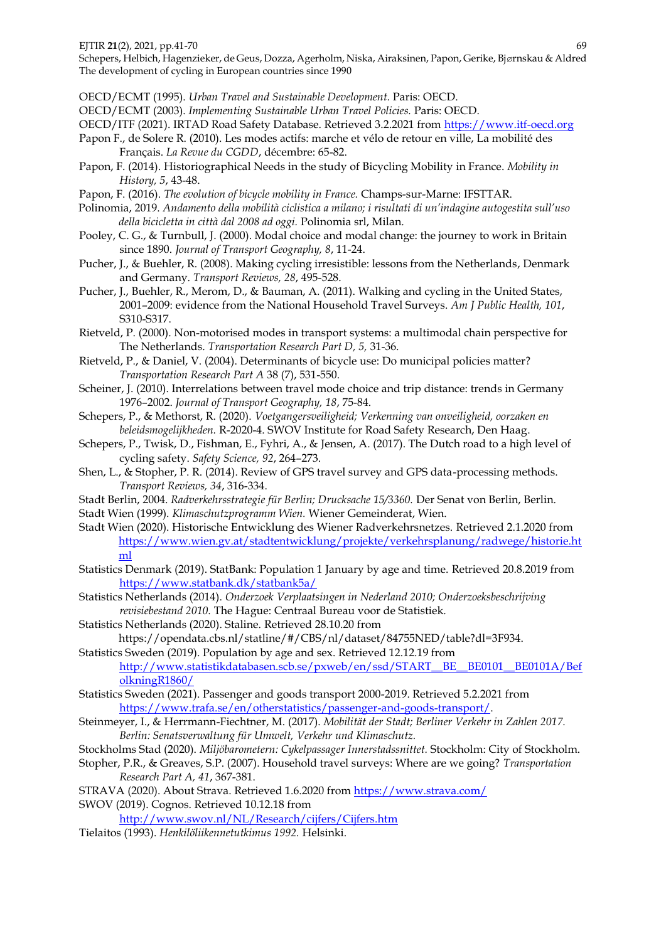Schepers, Helbich, Hagenzieker, de Geus, Dozza, Agerholm, Niska, Airaksinen, Papon, Gerike, Bjørnskau & Aldred The development of cycling in European countries since 1990

OECD/ECMT (1995). *Urban Travel and Sustainable Development.* Paris: OECD.

OECD/ECMT (2003). *Implementing Sustainable Urban Travel Policies.* Paris: OECD.

- OECD/ITF (2021). IRTAD Road Safety Database. Retrieved 3.2.2021 from [https://www.itf-oecd.org](https://www.itf-oecd.org/)
- Papon F., de Solere R. (2010). Les modes actifs: marche et vélo de retour en ville, La mobilité des Français. *La Revue du CGDD*, décembre: 65-82.
- Papon, F. (2014). Historiographical Needs in the study of Bicycling Mobility in France. *Mobility in History, 5*, 43-48.
- Papon, F. (2016). *The evolution of bicycle mobility in France.* Champs-sur-Marne: IFSTTAR.
- Polinomia, 2019. *Andamento della mobilità ciclistica a milano; i risultati di un'indagine autogestita sull'uso della bicicletta in città dal 2008 ad oggi.* Polinomia srl, Milan.
- Pooley, C. G., & Turnbull, J. (2000). Modal choice and modal change: the journey to work in Britain since 1890. *Journal of Transport Geography, 8*, 11-24.
- Pucher, J., & Buehler, R. (2008). Making cycling irresistible: lessons from the Netherlands, Denmark and Germany. *Transport Reviews, 28*, 495-528.
- Pucher, J., Buehler, R., Merom, D., & Bauman, A. (2011). Walking and cycling in the United States, 2001–2009: evidence from the National Household Travel Surveys. *Am J Public Health, 101*, S310-S317.
- Rietveld, P. (2000). Non-motorised modes in transport systems: a multimodal chain perspective for The Netherlands. *Transportation Research Part D, 5,* 31-36.
- Rietveld, P., & Daniel, V. (2004). Determinants of bicycle use: Do municipal policies matter? *Transportation Research Part A* 38 (7), 531-550.
- Scheiner, J. (2010). Interrelations between travel mode choice and trip distance: trends in Germany 1976–2002. *Journal of Transport Geography, 18*, 75-84.
- Schepers, P., & Methorst, R. (2020). *Voetgangersveiligheid; Verkenning van onveiligheid, oorzaken en beleidsmogelijkheden.* R-2020-4. SWOV Institute for Road Safety Research, Den Haag.
- Schepers, P., Twisk, D., Fishman, E., Fyhri, A., & Jensen, A. (2017). The Dutch road to a high level of cycling safety. *Safety Science, 92*, 264–273.
- Shen, L., & Stopher, P. R. (2014). Review of GPS travel survey and GPS data-processing methods. *Transport Reviews, 34*, 316-334.
- Stadt Berlin, 2004. *Radverkehrsstrategie für Berlin; Drucksache 15/3360.* Der Senat von Berlin, Berlin.
- Stadt Wien (1999). *Klimaschutzprogramm Wien.* Wiener Gemeinderat, Wien.
- Stadt Wien (2020). Historische Entwicklung des Wiener Radverkehrsnetzes. Retrieved 2.1.2020 from [https://www.wien.gv.at/stadtentwicklung/projekte/verkehrsplanung/radwege/historie.ht](https://www.wien.gv.at/stadtentwicklung/projekte/verkehrsplanung/radwege/historie.html) [ml](https://www.wien.gv.at/stadtentwicklung/projekte/verkehrsplanung/radwege/historie.html)
- Statistics Denmark (2019). StatBank: Population 1 January by age and time. Retrieved 20.8.2019 from <https://www.statbank.dk/statbank5a/>
- Statistics Netherlands (2014). *Onderzoek Verplaatsingen in Nederland 2010; Onderzoeksbeschrijving revisiebestand 2010.* The Hague: Centraal Bureau voor de Statistiek.
- Statistics Netherlands (2020). Staline. Retrieved 28.10.20 from https://opendata.cbs.nl/statline/#/CBS/nl/dataset/84755NED/table?dl=3F934.
- Statistics Sweden (2019). Population by age and sex. Retrieved 12.12.19 from [http://www.statistikdatabasen.scb.se/pxweb/en/ssd/START\\_\\_BE\\_\\_BE0101\\_\\_BE0101A/Bef](http://www.statistikdatabasen.scb.se/pxweb/en/ssd/START__BE__BE0101__BE0101A/BefolkningR1860/) [olkningR1860/](http://www.statistikdatabasen.scb.se/pxweb/en/ssd/START__BE__BE0101__BE0101A/BefolkningR1860/)
- Statistics Sweden (2021). Passenger and goods transport 2000-2019. Retrieved 5.2.2021 from [https://www.trafa.se/en/otherstatistics/passenger-and-goods-transport/.](https://www.trafa.se/en/otherstatistics/passenger-and-goods-transport/)
- Steinmeyer, I., & Herrmann-Fiechtner, M. (2017). *Mobilität der Stadt; Berliner Verkehr in Zahlen 2017. Berlin: Senatsverwaltung für Umwelt, Verkehr und Klimaschutz.*
- Stockholms Stad (2020). *Miljöbarometern: Cykelpassager Innerstadssnittet.* Stockholm: City of Stockholm.
- Stopher, P.R., & Greaves, S.P. (2007). Household travel surveys: Where are we going? *Transportation Research Part A, 41*, 367-381.
- STRAVA (2020). About Strava. Retrieved 1.6.2020 from<https://www.strava.com/> SWOV (2019). Cognos. Retrieved 10.12.18 from
	- <http://www.swov.nl/NL/Research/cijfers/Cijfers.htm>
- Tielaitos (1993). *Henkilöliikennetutkimus 1992.* Helsinki.